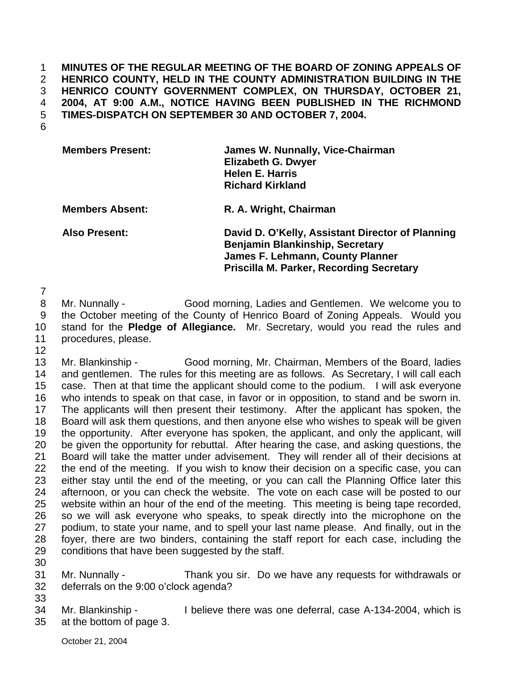1 2 3 4 5 **MINUTES OF THE REGULAR MEETING OF THE BOARD OF ZONING APPEALS OF HENRICO COUNTY, HELD IN THE COUNTY ADMINISTRATION BUILDING IN THE HENRICO COUNTY GOVERNMENT COMPLEX, ON THURSDAY, OCTOBER 21, 2004, AT 9:00 A.M., NOTICE HAVING BEEN PUBLISHED IN THE RICHMOND TIMES-DISPATCH ON SEPTEMBER 30 AND OCTOBER 7, 2004.** 

6

| <b>Members Present:</b> | James W. Nunnally, Vice-Chairman<br><b>Elizabeth G. Dwyer</b><br><b>Helen E. Harris</b><br><b>Richard Kirkland</b>                    |
|-------------------------|---------------------------------------------------------------------------------------------------------------------------------------|
| <b>Members Absent:</b>  | R. A. Wright, Chairman                                                                                                                |
| <b>Also Present:</b>    | David D. O'Kelly, Assistant Director of Planning<br><b>Benjamin Blankinship, Secretary</b><br><b>James F. Lehmann, County Planner</b> |

**Priscilla M. Parker, Recording Secretary** 

7

8 9 10 11 12 Mr. Nunnally - Good morning, Ladies and Gentlemen. We welcome you to the October meeting of the County of Henrico Board of Zoning Appeals. Would you stand for the **Pledge of Allegiance.** Mr. Secretary, would you read the rules and procedures, please.

13 14 15 16 17 18 19 20 21 22 23 24 25 26 27 28 29 Mr. Blankinship - Good morning, Mr. Chairman, Members of the Board, ladies and gentlemen. The rules for this meeting are as follows. As Secretary, I will call each case. Then at that time the applicant should come to the podium. I will ask everyone who intends to speak on that case, in favor or in opposition, to stand and be sworn in. The applicants will then present their testimony. After the applicant has spoken, the Board will ask them questions, and then anyone else who wishes to speak will be given the opportunity. After everyone has spoken, the applicant, and only the applicant, will be given the opportunity for rebuttal. After hearing the case, and asking questions, the Board will take the matter under advisement. They will render all of their decisions at the end of the meeting. If you wish to know their decision on a specific case, you can either stay until the end of the meeting, or you can call the Planning Office later this afternoon, or you can check the website. The vote on each case will be posted to our website within an hour of the end of the meeting. This meeting is being tape recorded, so we will ask everyone who speaks, to speak directly into the microphone on the podium, to state your name, and to spell your last name please. And finally, out in the foyer, there are two binders, containing the staff report for each case, including the conditions that have been suggested by the staff.

30 31

Mr. Nunnally - Thank you sir. Do we have any requests for withdrawals or deferrals on the 9:00 o'clock agenda?

32 33

34 35 Mr. Blankinship - I believe there was one deferral, case A-134-2004, which is at the bottom of page 3.

October 21, 2004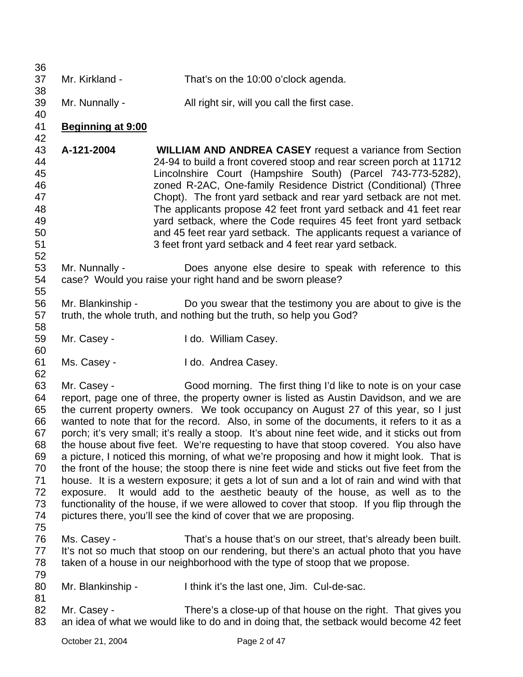| 36                                                                         |                          |                                                                                                                                                                                                                                                                                                                                                                                                                                                                                                                                                                                                                                                                                                                                                                                                                                                                                                                                                                                                                                                                                |
|----------------------------------------------------------------------------|--------------------------|--------------------------------------------------------------------------------------------------------------------------------------------------------------------------------------------------------------------------------------------------------------------------------------------------------------------------------------------------------------------------------------------------------------------------------------------------------------------------------------------------------------------------------------------------------------------------------------------------------------------------------------------------------------------------------------------------------------------------------------------------------------------------------------------------------------------------------------------------------------------------------------------------------------------------------------------------------------------------------------------------------------------------------------------------------------------------------|
| 37<br>38                                                                   | Mr. Kirkland -           | That's on the 10:00 o'clock agenda.                                                                                                                                                                                                                                                                                                                                                                                                                                                                                                                                                                                                                                                                                                                                                                                                                                                                                                                                                                                                                                            |
| 39<br>40                                                                   | Mr. Nunnally -           | All right sir, will you call the first case.                                                                                                                                                                                                                                                                                                                                                                                                                                                                                                                                                                                                                                                                                                                                                                                                                                                                                                                                                                                                                                   |
| 41<br>42                                                                   | <b>Beginning at 9:00</b> |                                                                                                                                                                                                                                                                                                                                                                                                                                                                                                                                                                                                                                                                                                                                                                                                                                                                                                                                                                                                                                                                                |
| 43<br>44<br>45<br>46<br>47<br>48<br>49<br>50<br>51<br>52                   | A-121-2004               | <b>WILLIAM AND ANDREA CASEY</b> request a variance from Section<br>24-94 to build a front covered stoop and rear screen porch at 11712<br>Lincolnshire Court (Hampshire South) (Parcel 743-773-5282),<br>zoned R-2AC, One-family Residence District (Conditional) (Three<br>Chopt). The front yard setback and rear yard setback are not met.<br>The applicants propose 42 feet front yard setback and 41 feet rear<br>yard setback, where the Code requires 45 feet front yard setback<br>and 45 feet rear yard setback. The applicants request a variance of<br>3 feet front yard setback and 4 feet rear yard setback.                                                                                                                                                                                                                                                                                                                                                                                                                                                      |
| 53<br>54<br>55                                                             | Mr. Nunnally -           | Does anyone else desire to speak with reference to this<br>case? Would you raise your right hand and be sworn please?                                                                                                                                                                                                                                                                                                                                                                                                                                                                                                                                                                                                                                                                                                                                                                                                                                                                                                                                                          |
| 56<br>57<br>58                                                             | Mr. Blankinship -        | Do you swear that the testimony you are about to give is the<br>truth, the whole truth, and nothing but the truth, so help you God?                                                                                                                                                                                                                                                                                                                                                                                                                                                                                                                                                                                                                                                                                                                                                                                                                                                                                                                                            |
| 59<br>60                                                                   | Mr. Casey -              | I do. William Casey.                                                                                                                                                                                                                                                                                                                                                                                                                                                                                                                                                                                                                                                                                                                                                                                                                                                                                                                                                                                                                                                           |
| 61<br>62                                                                   | Ms. Casey -              | I do. Andrea Casey.                                                                                                                                                                                                                                                                                                                                                                                                                                                                                                                                                                                                                                                                                                                                                                                                                                                                                                                                                                                                                                                            |
| 63<br>64<br>65<br>66<br>67<br>68<br>69<br>70<br>71<br>72<br>73<br>74<br>75 | Mr. Casey -<br>exposure. | Good morning. The first thing I'd like to note is on your case<br>report, page one of three, the property owner is listed as Austin Davidson, and we are<br>the current property owners. We took occupancy on August 27 of this year, so I just<br>wanted to note that for the record. Also, in some of the documents, it refers to it as a<br>porch; it's very small; it's really a stoop. It's about nine feet wide, and it sticks out from<br>the house about five feet. We're requesting to have that stoop covered. You also have<br>a picture, I noticed this morning, of what we're proposing and how it might look. That is<br>the front of the house; the stoop there is nine feet wide and sticks out five feet from the<br>house. It is a western exposure; it gets a lot of sun and a lot of rain and wind with that<br>It would add to the aesthetic beauty of the house, as well as to the<br>functionality of the house, if we were allowed to cover that stoop. If you flip through the<br>pictures there, you'll see the kind of cover that we are proposing. |
| 76<br>77<br>78<br>79                                                       | Ms. Casey -              | That's a house that's on our street, that's already been built.<br>It's not so much that stoop on our rendering, but there's an actual photo that you have<br>taken of a house in our neighborhood with the type of stoop that we propose.                                                                                                                                                                                                                                                                                                                                                                                                                                                                                                                                                                                                                                                                                                                                                                                                                                     |
| 80<br>81                                                                   | Mr. Blankinship -        | I think it's the last one, Jim. Cul-de-sac.                                                                                                                                                                                                                                                                                                                                                                                                                                                                                                                                                                                                                                                                                                                                                                                                                                                                                                                                                                                                                                    |
| 82<br>83                                                                   | Mr. Casey -              | There's a close-up of that house on the right. That gives you<br>an idea of what we would like to do and in doing that, the setback would become 42 feet                                                                                                                                                                                                                                                                                                                                                                                                                                                                                                                                                                                                                                                                                                                                                                                                                                                                                                                       |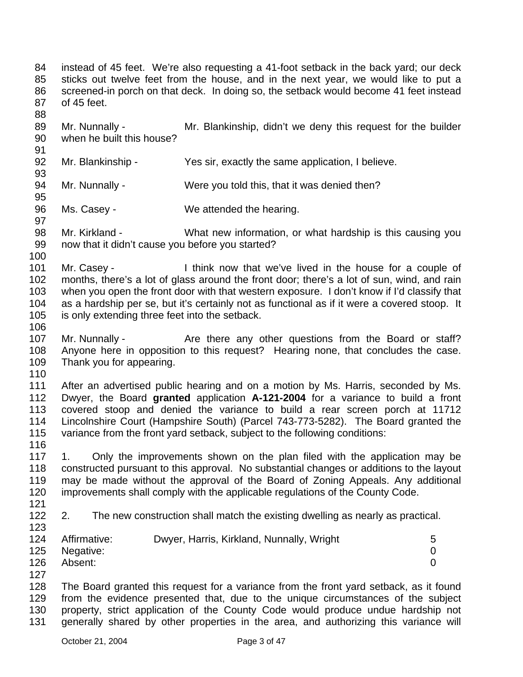84 85 86 87 88 89 90 91 92 93 94 95 96 97 98 99 100 101 102 103 104 105 106 107 108 109 110 111 112 113 114 115 116 117 118 119 120 121 122 123 124 125 126 127 128 129 130 131 instead of 45 feet. We're also requesting a 41-foot setback in the back yard; our deck sticks out twelve feet from the house, and in the next year, we would like to put a screened-in porch on that deck. In doing so, the setback would become 41 feet instead of 45 feet. Mr. Nunnally - Mr. Blankinship, didn't we deny this request for the builder when he built this house? Mr. Blankinship - Yes sir, exactly the same application, I believe. Mr. Nunnally - Were you told this, that it was denied then? Ms. Casey - We attended the hearing. Mr. Kirkland - What new information, or what hardship is this causing you now that it didn't cause you before you started? Mr. Casey - I think now that we've lived in the house for a couple of months, there's a lot of glass around the front door; there's a lot of sun, wind, and rain when you open the front door with that western exposure. I don't know if I'd classify that as a hardship per se, but it's certainly not as functional as if it were a covered stoop. It is only extending three feet into the setback. Mr. Nunnally - The Are there any other questions from the Board or staff? Anyone here in opposition to this request? Hearing none, that concludes the case. Thank you for appearing. After an advertised public hearing and on a motion by Ms. Harris, seconded by Ms. Dwyer, the Board **granted** application **A-121-2004** for a variance to build a front covered stoop and denied the variance to build a rear screen porch at 11712 Lincolnshire Court (Hampshire South) (Parcel 743-773-5282). The Board granted the variance from the front yard setback, subject to the following conditions: 1. Only the improvements shown on the plan filed with the application may be constructed pursuant to this approval. No substantial changes or additions to the layout may be made without the approval of the Board of Zoning Appeals. Any additional improvements shall comply with the applicable regulations of the County Code. 2. The new construction shall match the existing dwelling as nearly as practical. Affirmative: Dwyer, Harris, Kirkland, Nunnally, Wright 5 Negative: 0 Absent: 0 The Board granted this request for a variance from the front yard setback, as it found from the evidence presented that, due to the unique circumstances of the subject property, strict application of the County Code would produce undue hardship not generally shared by other properties in the area, and authorizing this variance will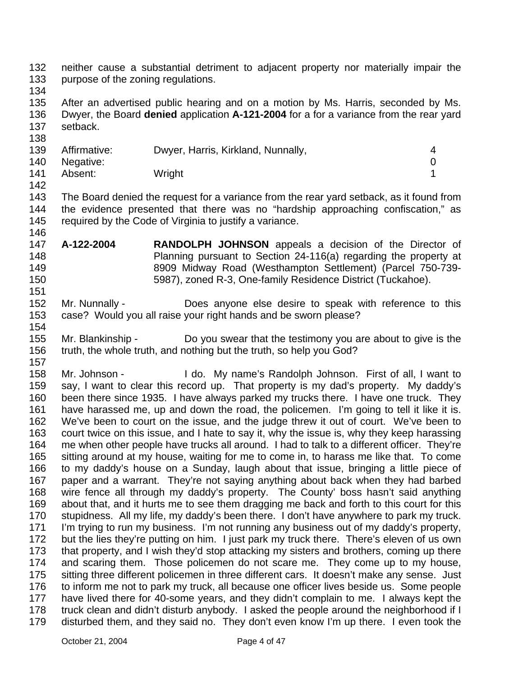132 133 neither cause a substantial detriment to adjacent property nor materially impair the purpose of the zoning regulations.

134

138

154

135 136 137 After an advertised public hearing and on a motion by Ms. Harris, seconded by Ms. Dwyer, the Board **denied** application **A-121-2004** for a for a variance from the rear yard setback.

139 140 141 142 Affirmative: Dwyer, Harris, Kirkland, Nunnally, Affirmative: 4 Negative: 0 Absent: Wright 1

143 144 145 146 The Board denied the request for a variance from the rear yard setback, as it found from the evidence presented that there was no "hardship approaching confiscation," as required by the Code of Virginia to justify a variance.

- 147 148 149 150 151 **A-122-2004 RANDOLPH JOHNSON** appeals a decision of the Director of Planning pursuant to Section 24-116(a) regarding the property at 8909 Midway Road (Westhampton Settlement) (Parcel 750-739- 5987), zoned R-3, One-family Residence District (Tuckahoe).
- 152 153 Mr. Nunnally - **Does** anyone else desire to speak with reference to this case? Would you all raise your right hands and be sworn please?
- 155 156 157 Mr. Blankinship - Do you swear that the testimony you are about to give is the truth, the whole truth, and nothing but the truth, so help you God?

158 159 160 161 162 163 164 165 166 167 168 169 170 171 172 173 174 175 176 177 178 179 Mr. Johnson - I do. My name's Randolph Johnson. First of all, I want to say, I want to clear this record up. That property is my dad's property. My daddy's been there since 1935. I have always parked my trucks there. I have one truck. They have harassed me, up and down the road, the policemen. I'm going to tell it like it is. We've been to court on the issue, and the judge threw it out of court. We've been to court twice on this issue, and I hate to say it, why the issue is, why they keep harassing me when other people have trucks all around. I had to talk to a different officer. They're sitting around at my house, waiting for me to come in, to harass me like that. To come to my daddy's house on a Sunday, laugh about that issue, bringing a little piece of paper and a warrant. They're not saying anything about back when they had barbed wire fence all through my daddy's property. The County' boss hasn't said anything about that, and it hurts me to see them dragging me back and forth to this court for this stupidness. All my life, my daddy's been there. I don't have anywhere to park my truck. I'm trying to run my business. I'm not running any business out of my daddy's property, but the lies they're putting on him. I just park my truck there. There's eleven of us own that property, and I wish they'd stop attacking my sisters and brothers, coming up there and scaring them. Those policemen do not scare me. They come up to my house, sitting three different policemen in three different cars. It doesn't make any sense. Just to inform me not to park my truck, all because one officer lives beside us. Some people have lived there for 40-some years, and they didn't complain to me. I always kept the truck clean and didn't disturb anybody. I asked the people around the neighborhood if I disturbed them, and they said no. They don't even know I'm up there. I even took the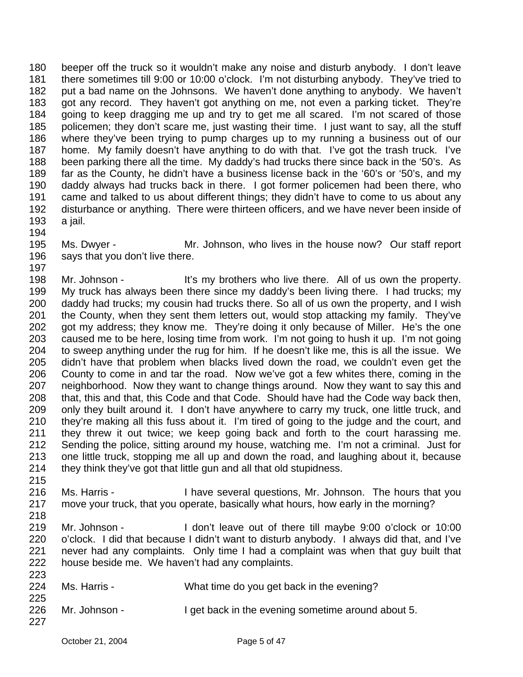180 181 182 183 184 185 186 187 188 189 190 191 192 193 beeper off the truck so it wouldn't make any noise and disturb anybody. I don't leave there sometimes till 9:00 or 10:00 o'clock. I'm not disturbing anybody. They've tried to put a bad name on the Johnsons. We haven't done anything to anybody. We haven't got any record. They haven't got anything on me, not even a parking ticket. They're going to keep dragging me up and try to get me all scared. I'm not scared of those policemen; they don't scare me, just wasting their time. I just want to say, all the stuff where they've been trying to pump charges up to my running a business out of our home. My family doesn't have anything to do with that. I've got the trash truck. I've been parking there all the time. My daddy's had trucks there since back in the '50's. As far as the County, he didn't have a business license back in the '60's or '50's, and my daddy always had trucks back in there. I got former policemen had been there, who came and talked to us about different things; they didn't have to come to us about any disturbance or anything. There were thirteen officers, and we have never been inside of a jail.

- 194
- 195 196 Ms. Dwyer - The Mr. Johnson, who lives in the house now? Our staff report says that you don't live there.

197 198 199 200 201 202 203 204 205 206 207 208 209 210 211 212 213 214 Mr. Johnson - It's my brothers who live there. All of us own the property. My truck has always been there since my daddy's been living there. I had trucks; my daddy had trucks; my cousin had trucks there. So all of us own the property, and I wish the County, when they sent them letters out, would stop attacking my family. They've got my address; they know me. They're doing it only because of Miller. He's the one caused me to be here, losing time from work. I'm not going to hush it up. I'm not going to sweep anything under the rug for him. If he doesn't like me, this is all the issue. We didn't have that problem when blacks lived down the road, we couldn't even get the County to come in and tar the road. Now we've got a few whites there, coming in the neighborhood. Now they want to change things around. Now they want to say this and that, this and that, this Code and that Code. Should have had the Code way back then, only they built around it. I don't have anywhere to carry my truck, one little truck, and they're making all this fuss about it. I'm tired of going to the judge and the court, and they threw it out twice; we keep going back and forth to the court harassing me. Sending the police, sitting around my house, watching me. I'm not a criminal. Just for one little truck, stopping me all up and down the road, and laughing about it, because they think they've got that little gun and all that old stupidness.

- 215 216 217 Ms. Harris - Thave several questions, Mr. Johnson. The hours that you move your truck, that you operate, basically what hours, how early in the morning?
- 218 219 220 221 222 Mr. Johnson - I don't leave out of there till maybe 9:00 o'clock or 10:00 o'clock. I did that because I didn't want to disturb anybody. I always did that, and I've never had any complaints. Only time I had a complaint was when that guy built that house beside me. We haven't had any complaints.

| 223 |               |                                                    |
|-----|---------------|----------------------------------------------------|
| 224 | Ms. Harris -  | What time do you get back in the evening?          |
| 225 |               |                                                    |
| 226 | Mr. Johnson - | I get back in the evening sometime around about 5. |
| 227 |               |                                                    |
|     |               |                                                    |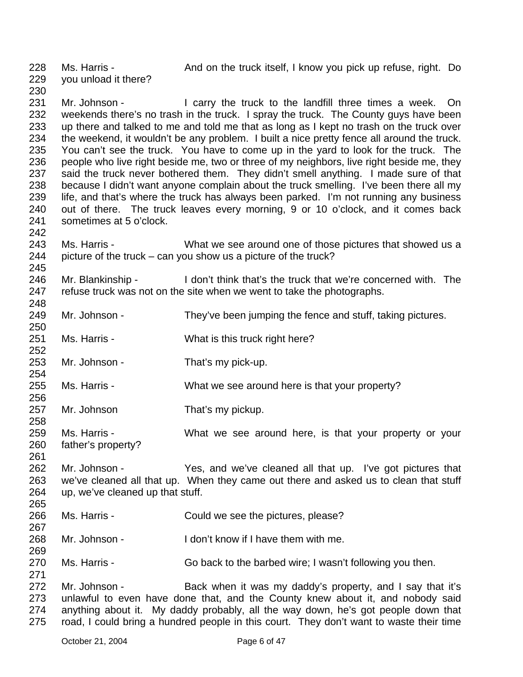228 229 230 Ms. Harris - And on the truck itself, I know you pick up refuse, right. Do you unload it there?

231 232 233 234 235 236 237 238 239 240 241 Mr. Johnson - I carry the truck to the landfill three times a week. On weekends there's no trash in the truck. I spray the truck. The County guys have been up there and talked to me and told me that as long as I kept no trash on the truck over the weekend, it wouldn't be any problem. I built a nice pretty fence all around the truck. You can't see the truck. You have to come up in the yard to look for the truck. The people who live right beside me, two or three of my neighbors, live right beside me, they said the truck never bothered them. They didn't smell anything. I made sure of that because I didn't want anyone complain about the truck smelling. I've been there all my life, and that's where the truck has always been parked. I'm not running any business out of there. The truck leaves every morning, 9 or 10 o'clock, and it comes back sometimes at 5 o'clock.

- 243 244 Ms. Harris - What we see around one of those pictures that showed us a picture of the truck – can you show us a picture of the truck?
- 246 247 248 Mr. Blankinship - I don't think that's the truck that we're concerned with. The refuse truck was not on the site when we went to take the photographs.
- 249 Mr. Johnson - They've been jumping the fence and stuff, taking pictures.
- 251 Ms. Harris - What is this truck right here?
- 253 Mr. Johnson - That's my pick-up.
- 255 Ms. Harris - What we see around here is that your property?
- 257 Mr. Johnson That's my pickup.
- 259 260 Ms. Harris - What we see around here, is that your property or your father's property?
- 262 263 264 265 Mr. Johnson - Yes, and we've cleaned all that up. I've got pictures that we've cleaned all that up. When they came out there and asked us to clean that stuff up, we've cleaned up that stuff.
- 266 Ms. Harris - Could we see the pictures, please?
- 268 Mr. Johnson - I don't know if I have them with me.
- 270 Ms. Harris - Go back to the barbed wire; I wasn't following you then.
- 272 273 274 275 Mr. Johnson - Back when it was my daddy's property, and I say that it's unlawful to even have done that, and the County knew about it, and nobody said anything about it. My daddy probably, all the way down, he's got people down that road, I could bring a hundred people in this court. They don't want to waste their time

242

245

250

252

254

256

258

261

267

269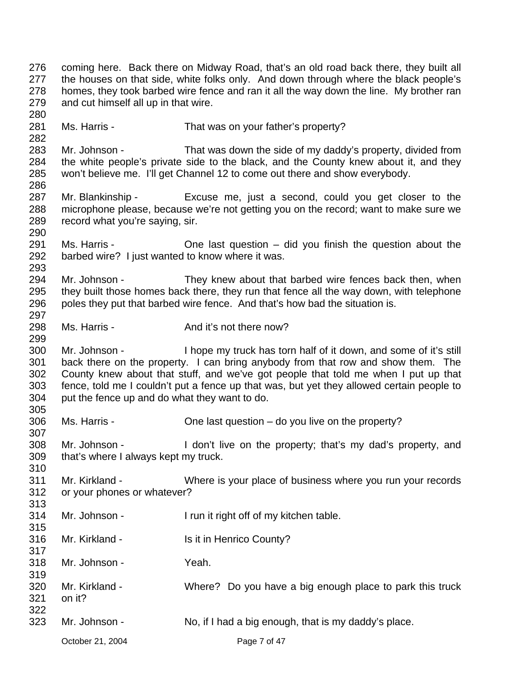October 21, 2004 **Page 7 of 47** 276 277 278 279 280 281 282 283 284 285 286 287 288 289 290 291 292 293 294 295 296 297 298 299 300 301 302 303 304 305 306 307 308 309 310 311 312 313 314 315 316 317 318 319 320 321 322 323 coming here. Back there on Midway Road, that's an old road back there, they built all the houses on that side, white folks only. And down through where the black people's homes, they took barbed wire fence and ran it all the way down the line. My brother ran and cut himself all up in that wire. Ms. Harris - That was on your father's property? Mr. Johnson - That was down the side of my daddy's property, divided from the white people's private side to the black, and the County knew about it, and they won't believe me. I'll get Channel 12 to come out there and show everybody. Mr. Blankinship - Excuse me, just a second, could you get closer to the microphone please, because we're not getting you on the record; want to make sure we record what you're saying, sir. Ms. Harris - Che last question – did you finish the question about the barbed wire? I just wanted to know where it was. Mr. Johnson - They knew about that barbed wire fences back then, when they built those homes back there, they run that fence all the way down, with telephone poles they put that barbed wire fence. And that's how bad the situation is. Ms. Harris - The And it's not there now? Mr. Johnson - I hope my truck has torn half of it down, and some of it's still back there on the property. I can bring anybody from that row and show them. The County knew about that stuff, and we've got people that told me when I put up that fence, told me I couldn't put a fence up that was, but yet they allowed certain people to put the fence up and do what they want to do. Ms. Harris - Che last question – do you live on the property? Mr. Johnson - I don't live on the property; that's my dad's property, and that's where I always kept my truck. Mr. Kirkland - Where is your place of business where you run your records or your phones or whatever? Mr. Johnson - I run it right off of my kitchen table. Mr. Kirkland - Is it in Henrico County? Mr. Johnson - Yeah. Mr. Kirkland - Where? Do you have a big enough place to park this truck on it? Mr. Johnson - No, if I had a big enough, that is my daddy's place.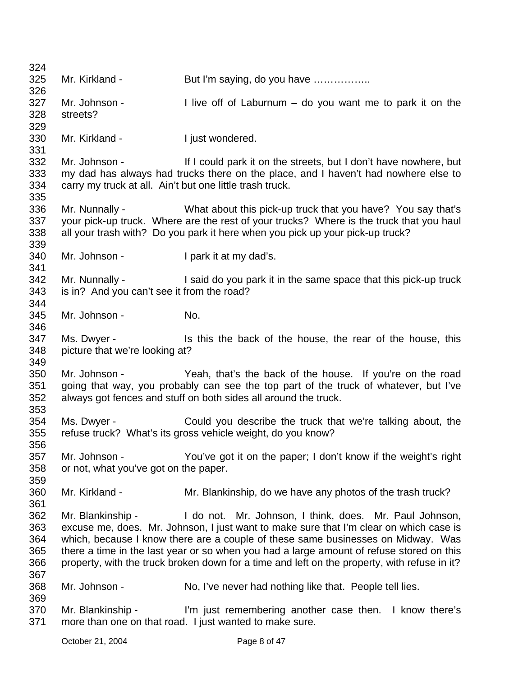| 324 |                                                          |                                                                                              |
|-----|----------------------------------------------------------|----------------------------------------------------------------------------------------------|
| 325 | Mr. Kirkland -                                           | But I'm saying, do you have                                                                  |
| 326 |                                                          |                                                                                              |
| 327 | Mr. Johnson -                                            | I live off of Laburnum $-$ do you want me to park it on the                                  |
| 328 | streets?                                                 |                                                                                              |
| 329 |                                                          |                                                                                              |
| 330 | Mr. Kirkland -                                           | I just wondered.                                                                             |
| 331 |                                                          |                                                                                              |
| 332 | Mr. Johnson -                                            | If I could park it on the streets, but I don't have nowhere, but                             |
| 333 |                                                          | my dad has always had trucks there on the place, and I haven't had nowhere else to           |
| 334 | carry my truck at all. Ain't but one little trash truck. |                                                                                              |
| 335 |                                                          |                                                                                              |
| 336 |                                                          | Mr. Nunnally - What about this pick-up truck that you have? You say that's                   |
| 337 |                                                          | your pick-up truck. Where are the rest of your trucks? Where is the truck that you haul      |
| 338 |                                                          | all your trash with? Do you park it here when you pick up your pick-up truck?                |
| 339 |                                                          |                                                                                              |
| 340 | Mr. Johnson -                                            | I park it at my dad's.                                                                       |
| 341 |                                                          |                                                                                              |
| 342 | Mr. Nunnally -                                           | I said do you park it in the same space that this pick-up truck                              |
| 343 | is in? And you can't see it from the road?               |                                                                                              |
| 344 |                                                          |                                                                                              |
| 345 | Mr. Johnson -                                            | No.                                                                                          |
| 346 |                                                          |                                                                                              |
| 347 | Ms. Dwyer -                                              | Is this the back of the house, the rear of the house, this                                   |
| 348 | picture that we're looking at?                           |                                                                                              |
| 349 |                                                          |                                                                                              |
| 350 | Mr. Johnson -                                            | Yeah, that's the back of the house. If you're on the road                                    |
| 351 |                                                          | going that way, you probably can see the top part of the truck of whatever, but I've         |
| 352 |                                                          | always got fences and stuff on both sides all around the truck.                              |
| 353 |                                                          |                                                                                              |
| 354 | Ms. Dwyer -                                              | Could you describe the truck that we're talking about, the                                   |
| 355 |                                                          | refuse truck? What's its gross vehicle weight, do you know?                                  |
| 356 |                                                          |                                                                                              |
| 357 | Mr. Johnson -                                            | You've got it on the paper; I don't know if the weight's right                               |
| 358 | or not, what you've got on the paper.                    |                                                                                              |
| 359 |                                                          |                                                                                              |
| 360 | Mr. Kirkland -                                           | Mr. Blankinship, do we have any photos of the trash truck?                                   |
| 361 |                                                          |                                                                                              |
| 362 | Mr. Blankinship -                                        | I do not. Mr. Johnson, I think, does. Mr. Paul Johnson,                                      |
| 363 |                                                          | excuse me, does. Mr. Johnson, I just want to make sure that I'm clear on which case is       |
| 364 |                                                          | which, because I know there are a couple of these same businesses on Midway. Was             |
|     |                                                          |                                                                                              |
| 365 |                                                          | there a time in the last year or so when you had a large amount of refuse stored on this     |
| 366 |                                                          | property, with the truck broken down for a time and left on the property, with refuse in it? |
| 367 |                                                          |                                                                                              |
| 368 | Mr. Johnson -                                            | No, I've never had nothing like that. People tell lies.                                      |
| 369 |                                                          |                                                                                              |
| 370 | Mr. Blankinship -                                        | I'm just remembering another case then. I know there's                                       |
| 371 |                                                          | more than one on that road. I just wanted to make sure.                                      |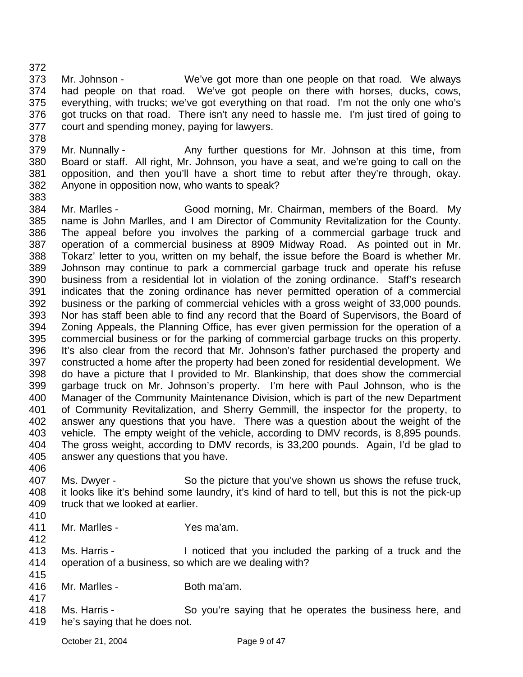373 374 375 376 377 378 Mr. Johnson - We've got more than one people on that road. We always had people on that road. We've got people on there with horses, ducks, cows, everything, with trucks; we've got everything on that road. I'm not the only one who's got trucks on that road. There isn't any need to hassle me. I'm just tired of going to court and spending money, paying for lawyers.

379 380 381 382 383 Mr. Nunnally - Any further questions for Mr. Johnson at this time, from Board or staff. All right, Mr. Johnson, you have a seat, and we're going to call on the opposition, and then you'll have a short time to rebut after they're through, okay. Anyone in opposition now, who wants to speak?

384 385 386 387 388 389 390 391 392 393 394 395 396 397 398 399 400 401 402 403 404 405 Mr. Marlles - Good morning, Mr. Chairman, members of the Board. My name is John Marlles, and I am Director of Community Revitalization for the County. The appeal before you involves the parking of a commercial garbage truck and operation of a commercial business at 8909 Midway Road. As pointed out in Mr. Tokarz' letter to you, written on my behalf, the issue before the Board is whether Mr. Johnson may continue to park a commercial garbage truck and operate his refuse business from a residential lot in violation of the zoning ordinance. Staff's research indicates that the zoning ordinance has never permitted operation of a commercial business or the parking of commercial vehicles with a gross weight of 33,000 pounds. Nor has staff been able to find any record that the Board of Supervisors, the Board of Zoning Appeals, the Planning Office, has ever given permission for the operation of a commercial business or for the parking of commercial garbage trucks on this property. It's also clear from the record that Mr. Johnson's father purchased the property and constructed a home after the property had been zoned for residential development. We do have a picture that I provided to Mr. Blankinship, that does show the commercial garbage truck on Mr. Johnson's property. I'm here with Paul Johnson, who is the Manager of the Community Maintenance Division, which is part of the new Department of Community Revitalization, and Sherry Gemmill, the inspector for the property, to answer any questions that you have. There was a question about the weight of the vehicle. The empty weight of the vehicle, according to DMV records, is 8,895 pounds. The gross weight, according to DMV records, is 33,200 pounds. Again, I'd be glad to answer any questions that you have.

406

372

407 408 409 Ms. Dwyer - So the picture that you've shown us shows the refuse truck, it looks like it's behind some laundry, it's kind of hard to tell, but this is not the pick-up truck that we looked at earlier.

410

412

417

411 Mr. Marlles - Yes ma'am.

413 414 415 Ms. Harris - Inoticed that you included the parking of a truck and the operation of a business, so which are we dealing with?

- 416 Mr. Marlles - Both ma'am.
- 418 419 Ms. Harris - So you're saying that he operates the business here, and he's saying that he does not.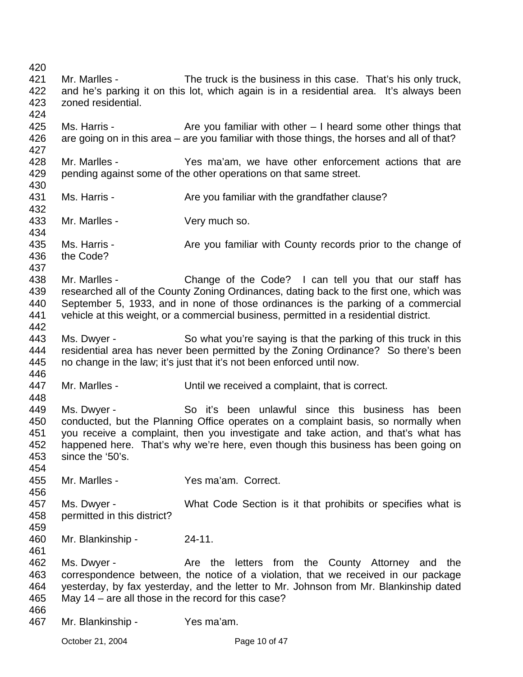420 421 422 423 424 425 426 427 428 429 430 431 432 433 434 435 436 437 438 439 440 441 442 443 444 445 446 447 448 449 450 451 452 453 454 455 456 457 458 459 460 461 462 463 464 465 466 467 Mr. Marlles - The truck is the business in this case. That's his only truck, and he's parking it on this lot, which again is in a residential area. It's always been zoned residential. Ms. Harris -  $\blacksquare$  Are you familiar with other  $\blacksquare$  I heard some other things that are going on in this area – are you familiar with those things, the horses and all of that? Mr. Marlles - Yes ma'am, we have other enforcement actions that are pending against some of the other operations on that same street. Ms. Harris - The State you familiar with the grandfather clause? Mr. Marlles - Very much so. Ms. Harris - Are you familiar with County records prior to the change of the Code? Mr. Marlles - Change of the Code? I can tell you that our staff has researched all of the County Zoning Ordinances, dating back to the first one, which was September 5, 1933, and in none of those ordinances is the parking of a commercial vehicle at this weight, or a commercial business, permitted in a residential district. Ms. Dwyer - So what you're saying is that the parking of this truck in this residential area has never been permitted by the Zoning Ordinance? So there's been no change in the law; it's just that it's not been enforced until now. Mr. Marlles - The Until we received a complaint, that is correct. Ms. Dwyer - So it's been unlawful since this business has been conducted, but the Planning Office operates on a complaint basis, so normally when you receive a complaint, then you investigate and take action, and that's what has happened here. That's why we're here, even though this business has been going on since the '50's. Mr. Marlles - The Yes ma'am. Correct. Ms. Dwyer - What Code Section is it that prohibits or specifies what is permitted in this district? Mr. Blankinship - 24-11. Ms. Dwyer - Are the letters from the County Attorney and the correspondence between, the notice of a violation, that we received in our package yesterday, by fax yesterday, and the letter to Mr. Johnson from Mr. Blankinship dated May 14 – are all those in the record for this case? Mr. Blankinship - Yes ma'am.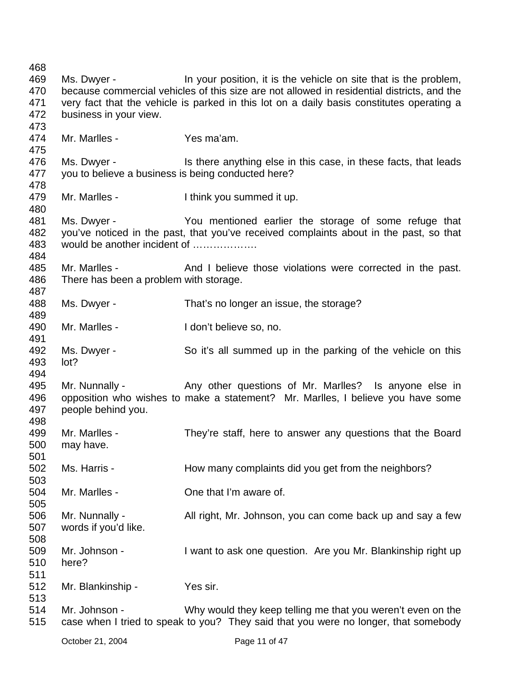468 469 470 471 472 473 474 475 476 477 478 479 480 481 482 483 484 485 486 487 488 489 490 491 492 493 494 495 496 497 498 499 500 501 502 503 504 505 506 507 508 509 510 511 512 513 514 515 Ms. Dwyer - In your position, it is the vehicle on site that is the problem, because commercial vehicles of this size are not allowed in residential districts, and the very fact that the vehicle is parked in this lot on a daily basis constitutes operating a business in your view. Mr. Marlles - Yes ma'am. Ms. Dwyer - This there anything else in this case, in these facts, that leads you to believe a business is being conducted here? Mr. Marlles - Ithink you summed it up. Ms. Dwyer - You mentioned earlier the storage of some refuge that you've noticed in the past, that you've received complaints about in the past, so that would be another incident of ……………… Mr. Marlles - And I believe those violations were corrected in the past. There has been a problem with storage. Ms. Dwyer - That's no longer an issue, the storage? Mr. Marlles - The Music Contract of I don't believe so, no. Ms. Dwyer - So it's all summed up in the parking of the vehicle on this lot? Mr. Nunnally - Any other questions of Mr. Marlles? Is anyone else in opposition who wishes to make a statement? Mr. Marlles, I believe you have some people behind you. Mr. Marlles - They're staff, here to answer any questions that the Board may have. Ms. Harris - **How many complaints did you get from the neighbors?** Mr. Marlles - One that I'm aware of. Mr. Nunnally - All right, Mr. Johnson, you can come back up and say a few words if you'd like. Mr. Johnson - I want to ask one question. Are you Mr. Blankinship right up here? Mr. Blankinship - Yes sir. Mr. Johnson - Why would they keep telling me that you weren't even on the case when I tried to speak to you? They said that you were no longer, that somebody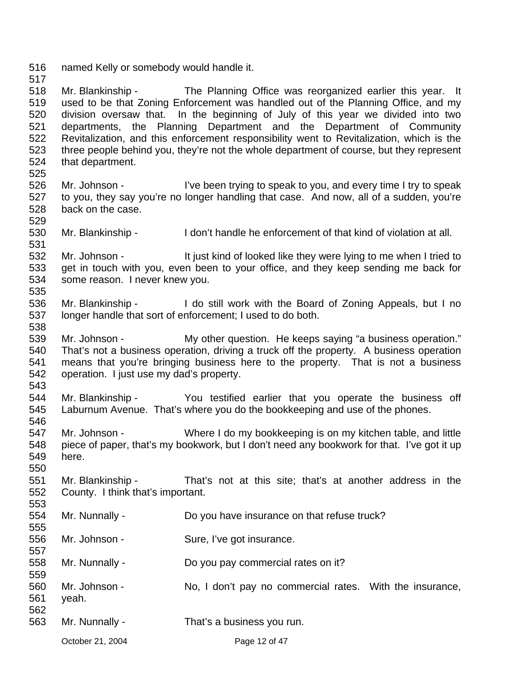516 named Kelly or somebody would handle it.

517

529

538

546

550

553

518 519 520 521 522 523 524 525 Mr. Blankinship - The Planning Office was reorganized earlier this year. It used to be that Zoning Enforcement was handled out of the Planning Office, and my division oversaw that. In the beginning of July of this year we divided into two departments, the Planning Department and the Department of Community Revitalization, and this enforcement responsibility went to Revitalization, which is the three people behind you, they're not the whole department of course, but they represent that department.

- 526 527 528 Mr. Johnson - I've been trying to speak to you, and every time I try to speak to you, they say you're no longer handling that case. And now, all of a sudden, you're back on the case.
- 530 531 Mr. Blankinship - I don't handle he enforcement of that kind of violation at all.

532 533 534 535 Mr. Johnson - It just kind of looked like they were lying to me when I tried to get in touch with you, even been to your office, and they keep sending me back for some reason. I never knew you.

536 537 Mr. Blankinship - I do still work with the Board of Zoning Appeals, but I no longer handle that sort of enforcement; I used to do both.

539 540 541 542 543 Mr. Johnson - My other question. He keeps saying "a business operation." That's not a business operation, driving a truck off the property. A business operation means that you're bringing business here to the property. That is not a business operation. I just use my dad's property.

- 544 545 Mr. Blankinship - You testified earlier that you operate the business off Laburnum Avenue. That's where you do the bookkeeping and use of the phones.
- 547 548 549 Mr. Johnson - Where I do my bookkeeping is on my kitchen table, and little piece of paper, that's my bookwork, but I don't need any bookwork for that. I've got it up here.
- 551 552 Mr. Blankinship - That's not at this site; that's at another address in the County. I think that's important.
- 554 555 556 557 558 559 560 561 562 563 Mr. Nunnally - **Do you have insurance on that refuse truck?** Mr. Johnson - Sure, I've got insurance. Mr. Nunnally - Do you pay commercial rates on it? Mr. Johnson - No, I don't pay no commercial rates. With the insurance, yeah. Mr. Nunnally - That's a business you run.

October 21, 2004 **Page 12 of 47**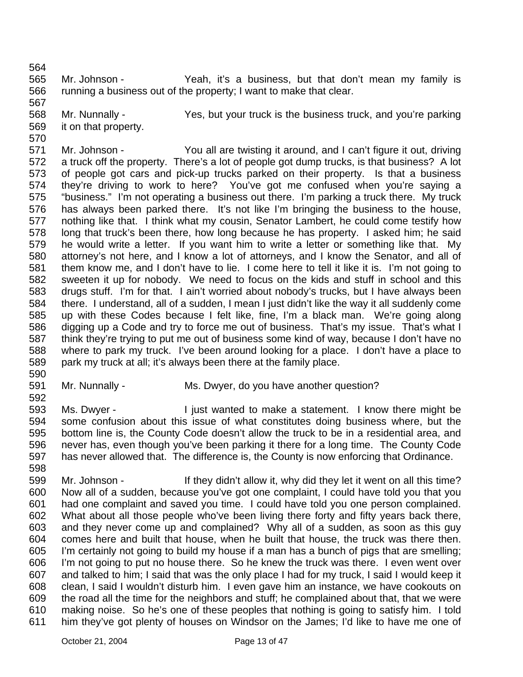565 566 Mr. Johnson - The Yeah, it's a business, but that don't mean my family is running a business out of the property; I want to make that clear.

568 569 Mr. Nunnally - Yes, but your truck is the business truck, and you're parking it on that property.

571 572 573 574 575 576 577 578 579 580 581 582 583 584 585 586 587 588 589 Mr. Johnson - You all are twisting it around, and I can't figure it out, driving a truck off the property. There's a lot of people got dump trucks, is that business? A lot of people got cars and pick-up trucks parked on their property. Is that a business they're driving to work to here? You've got me confused when you're saying a "business." I'm not operating a business out there. I'm parking a truck there. My truck has always been parked there. It's not like I'm bringing the business to the house, nothing like that. I think what my cousin, Senator Lambert, he could come testify how long that truck's been there, how long because he has property. I asked him; he said he would write a letter. If you want him to write a letter or something like that. My attorney's not here, and I know a lot of attorneys, and I know the Senator, and all of them know me, and I don't have to lie. I come here to tell it like it is. I'm not going to sweeten it up for nobody. We need to focus on the kids and stuff in school and this drugs stuff. I'm for that. I ain't worried about nobody's trucks, but I have always been there. I understand, all of a sudden, I mean I just didn't like the way it all suddenly come up with these Codes because I felt like, fine, I'm a black man. We're going along digging up a Code and try to force me out of business. That's my issue. That's what I think they're trying to put me out of business some kind of way, because I don't have no where to park my truck. I've been around looking for a place. I don't have a place to park my truck at all; it's always been there at the family place.

590

564

567

570

591 592

Mr. Nunnally - Ms. Dwyer, do you have another question?

593 594 595 596 597 598 Ms. Dwyer - I just wanted to make a statement. I know there might be some confusion about this issue of what constitutes doing business where, but the bottom line is, the County Code doesn't allow the truck to be in a residential area, and never has, even though you've been parking it there for a long time. The County Code has never allowed that. The difference is, the County is now enforcing that Ordinance.

599 600 601 602 603 604 605 606 607 608 609 610 611 Mr. Johnson - They didn't allow it, why did they let it went on all this time? Now all of a sudden, because you've got one complaint, I could have told you that you had one complaint and saved you time. I could have told you one person complained. What about all those people who've been living there forty and fifty years back there, and they never come up and complained? Why all of a sudden, as soon as this guy comes here and built that house, when he built that house, the truck was there then. I'm certainly not going to build my house if a man has a bunch of pigs that are smelling; I'm not going to put no house there. So he knew the truck was there. I even went over and talked to him; I said that was the only place I had for my truck, I said I would keep it clean, I said I wouldn't disturb him. I even gave him an instance, we have cookouts on the road all the time for the neighbors and stuff; he complained about that, that we were making noise. So he's one of these peoples that nothing is going to satisfy him. I told him they've got plenty of houses on Windsor on the James; I'd like to have me one of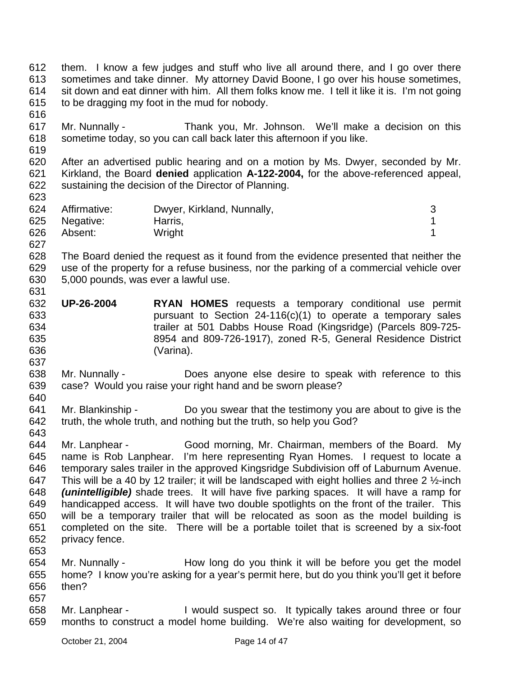612 613 614 615 616 617 618 619 620 621 622 623 624 625 626 627 628 629 630 631 632 633 634 635 636 637 638 639 640 641 642 643 644 645 646 647 648 649 650 651 652 653 654 655 656 657 658 659 them. I know a few judges and stuff who live all around there, and I go over there sometimes and take dinner. My attorney David Boone, I go over his house sometimes, sit down and eat dinner with him. All them folks know me. I tell it like it is. I'm not going to be dragging my foot in the mud for nobody. Mr. Nunnally - Thank you, Mr. Johnson. We'll make a decision on this sometime today, so you can call back later this afternoon if you like. After an advertised public hearing and on a motion by Ms. Dwyer, seconded by Mr. Kirkland, the Board **denied** application **A-122-2004,** for the above-referenced appeal, sustaining the decision of the Director of Planning. Affirmative: Dwyer, Kirkland, Nunnally, metallic and the state of 3 Negative: Harris, 1 Absent: Wright 1 The Board denied the request as it found from the evidence presented that neither the use of the property for a refuse business, nor the parking of a commercial vehicle over 5,000 pounds, was ever a lawful use. **UP-26-2004 RYAN HOMES** requests a temporary conditional use permit pursuant to Section 24-116(c)(1) to operate a temporary sales trailer at 501 Dabbs House Road (Kingsridge) (Parcels 809-725- 8954 and 809-726-1917), zoned R-5, General Residence District (Varina). Mr. Nunnally - Does anyone else desire to speak with reference to this case? Would you raise your right hand and be sworn please? Mr. Blankinship - Do you swear that the testimony you are about to give is the truth, the whole truth, and nothing but the truth, so help you God? Mr. Lanphear - Good morning, Mr. Chairman, members of the Board. My name is Rob Lanphear. I'm here representing Ryan Homes. I request to locate a temporary sales trailer in the approved Kingsridge Subdivision off of Laburnum Avenue. This will be a 40 by 12 trailer; it will be landscaped with eight hollies and three 2 ½-inch *(unintelligible)* shade trees. It will have five parking spaces. It will have a ramp for handicapped access. It will have two double spotlights on the front of the trailer. This will be a temporary trailer that will be relocated as soon as the model building is completed on the site. There will be a portable toilet that is screened by a six-foot privacy fence. Mr. Nunnally - How long do you think it will be before you get the model home? I know you're asking for a year's permit here, but do you think you'll get it before then? Mr. Lanphear - I would suspect so. It typically takes around three or four months to construct a model home building. We're also waiting for development, so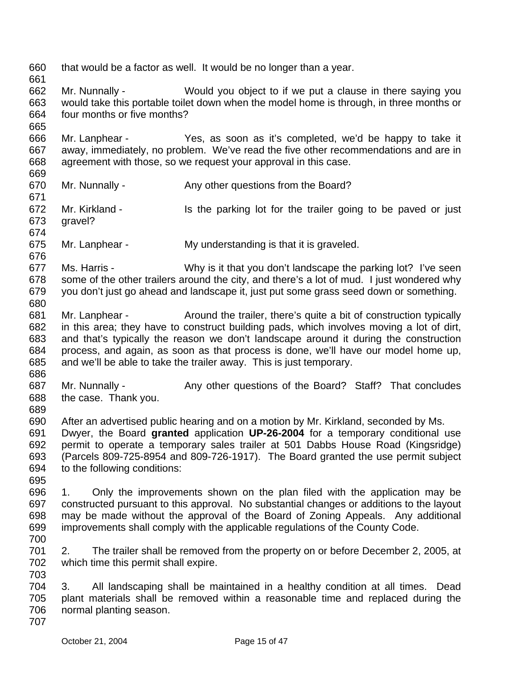660 661 662 663 664 665 666 667 668 669 670 671 672 673 674 675 676 677 678 679 680 681 682 683 684 685 686 687 688 689 690 691 692 693 694 695 696 697 698 699 700 701 702 703 704 705 706 707 that would be a factor as well. It would be no longer than a year. Mr. Nunnally - Would you object to if we put a clause in there saying you would take this portable toilet down when the model home is through, in three months or four months or five months? Mr. Lanphear - Yes, as soon as it's completed, we'd be happy to take it away, immediately, no problem. We've read the five other recommendations and are in agreement with those, so we request your approval in this case. Mr. Nunnally - Any other questions from the Board? Mr. Kirkland - Is the parking lot for the trailer going to be paved or just gravel? Mr. Lanphear - My understanding is that it is graveled. Ms. Harris - Why is it that you don't landscape the parking lot? I've seen some of the other trailers around the city, and there's a lot of mud. I just wondered why you don't just go ahead and landscape it, just put some grass seed down or something. Mr. Lanphear - Around the trailer, there's quite a bit of construction typically in this area; they have to construct building pads, which involves moving a lot of dirt, and that's typically the reason we don't landscape around it during the construction process, and again, as soon as that process is done, we'll have our model home up, and we'll be able to take the trailer away. This is just temporary. Mr. Nunnally - Any other questions of the Board? Staff? That concludes the case. Thank you. After an advertised public hearing and on a motion by Mr. Kirkland, seconded by Ms. Dwyer, the Board **granted** application **UP-26-2004** for a temporary conditional use permit to operate a temporary sales trailer at 501 Dabbs House Road (Kingsridge) (Parcels 809-725-8954 and 809-726-1917). The Board granted the use permit subject to the following conditions: 1. Only the improvements shown on the plan filed with the application may be constructed pursuant to this approval. No substantial changes or additions to the layout may be made without the approval of the Board of Zoning Appeals. Any additional improvements shall comply with the applicable regulations of the County Code. 2. The trailer shall be removed from the property on or before December 2, 2005, at which time this permit shall expire. 3. All landscaping shall be maintained in a healthy condition at all times. Dead plant materials shall be removed within a reasonable time and replaced during the normal planting season.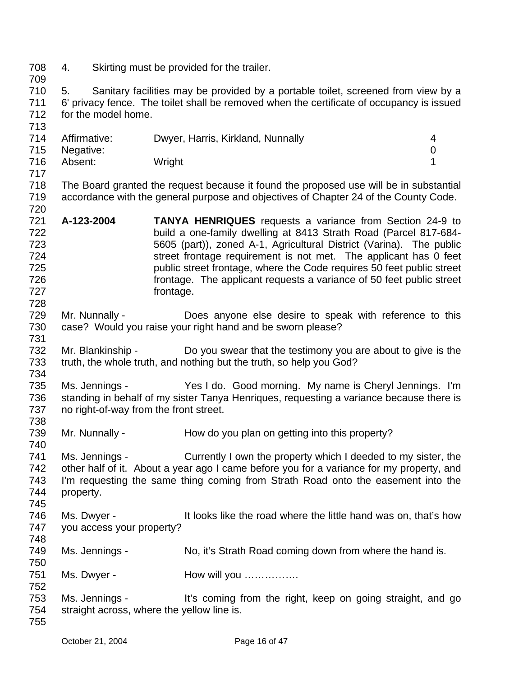- 708 4. Skirting must be provided for the trailer.
- 709

720

728

731

738

740

748

750

710 711 712 713 5. Sanitary facilities may be provided by a portable toilet, screened from view by a 6' privacy fence. The toilet shall be removed when the certificate of occupancy is issued for the model home.

|     | 714 Affirmative: | Dwyer, Harris, Kirkland, Nunnally | 4 |
|-----|------------------|-----------------------------------|---|
|     | 715 Negative:    |                                   |   |
| 716 | Absent:          | Wright                            |   |
| 717 |                  |                                   |   |

718 719 The Board granted the request because it found the proposed use will be in substantial accordance with the general purpose and objectives of Chapter 24 of the County Code.

- 721 722 723 724 725 726 727 **A-123-2004 TANYA HENRIQUES** requests a variance from Section 24-9 to build a one-family dwelling at 8413 Strath Road (Parcel 817-684- 5605 (part)), zoned A-1, Agricultural District (Varina). The public street frontage requirement is not met. The applicant has 0 feet public street frontage, where the Code requires 50 feet public street frontage. The applicant requests a variance of 50 feet public street frontage.
- 729 730 Mr. Nunnally - **Does** anyone else desire to speak with reference to this case? Would you raise your right hand and be sworn please?
- 732 733 734 Mr. Blankinship - Do you swear that the testimony you are about to give is the truth, the whole truth, and nothing but the truth, so help you God?
- 735 736 737 Ms. Jennings - Yes I do. Good morning. My name is Cheryl Jennings. I'm standing in behalf of my sister Tanya Henriques, requesting a variance because there is no right-of-way from the front street.
- 739 Mr. Nunnally - How do you plan on getting into this property?

741 742 743 744 745 Ms. Jennings - Currently I own the property which I deeded to my sister, the other half of it. About a year ago I came before you for a variance for my property, and I'm requesting the same thing coming from Strath Road onto the easement into the property.

- 746 747 Ms. Dwyer - It looks like the road where the little hand was on, that's how you access your property?
- 749 Ms. Jennings - No, it's Strath Road coming down from where the hand is.
- 751 Ms. Dwyer - How will you …………….
- 752 753 754 755 Ms. Jennings - It's coming from the right, keep on going straight, and go straight across, where the yellow line is.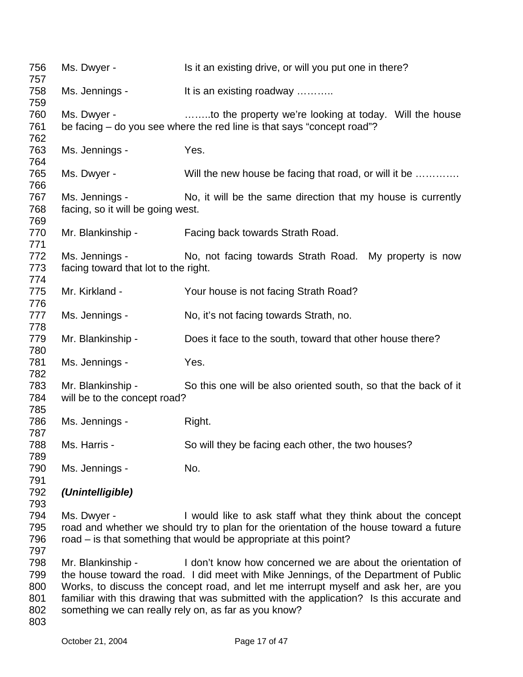| 756<br>757 | Ms. Dwyer -                                                                                                                                      | Is it an existing drive, or will you put one in there?                                  |  |
|------------|--------------------------------------------------------------------------------------------------------------------------------------------------|-----------------------------------------------------------------------------------------|--|
| 758        | Ms. Jennings -                                                                                                                                   | It is an existing roadway                                                               |  |
| 759        |                                                                                                                                                  |                                                                                         |  |
| 760        | Ms. Dwyer -                                                                                                                                      | to the property we're looking at today. Will the house                                  |  |
| 761        |                                                                                                                                                  | be facing – do you see where the red line is that says "concept road"?                  |  |
| 762        |                                                                                                                                                  |                                                                                         |  |
| 763        | Ms. Jennings -                                                                                                                                   | Yes.                                                                                    |  |
| 764        |                                                                                                                                                  |                                                                                         |  |
| 765        | Ms. Dwyer -                                                                                                                                      | Will the new house be facing that road, or will it be                                   |  |
| 766        |                                                                                                                                                  |                                                                                         |  |
| 767        | Ms. Jennings -                                                                                                                                   | No, it will be the same direction that my house is currently                            |  |
| 768        | facing, so it will be going west.                                                                                                                |                                                                                         |  |
| 769        |                                                                                                                                                  |                                                                                         |  |
| 770        | Mr. Blankinship -                                                                                                                                | Facing back towards Strath Road.                                                        |  |
| 771        |                                                                                                                                                  |                                                                                         |  |
| 772        | Ms. Jennings -                                                                                                                                   | No, not facing towards Strath Road. My property is now                                  |  |
| 773        | facing toward that lot to the right.                                                                                                             |                                                                                         |  |
| 774        |                                                                                                                                                  |                                                                                         |  |
| 775        | Mr. Kirkland -                                                                                                                                   | Your house is not facing Strath Road?                                                   |  |
| 776<br>777 | Ms. Jennings -                                                                                                                                   | No, it's not facing towards Strath, no.                                                 |  |
| 778        |                                                                                                                                                  |                                                                                         |  |
| 779        | Mr. Blankinship -                                                                                                                                | Does it face to the south, toward that other house there?                               |  |
| 780        |                                                                                                                                                  |                                                                                         |  |
| 781        | Ms. Jennings -                                                                                                                                   | Yes.                                                                                    |  |
| 782        |                                                                                                                                                  |                                                                                         |  |
| 783        | Mr. Blankinship -                                                                                                                                | So this one will be also oriented south, so that the back of it                         |  |
| 784        | will be to the concept road?                                                                                                                     |                                                                                         |  |
| 785        |                                                                                                                                                  |                                                                                         |  |
| 786        | Ms. Jennings -                                                                                                                                   | Right.                                                                                  |  |
| 787        |                                                                                                                                                  |                                                                                         |  |
| 788        | Ms. Harris -                                                                                                                                     | So will they be facing each other, the two houses?                                      |  |
| 789        |                                                                                                                                                  |                                                                                         |  |
| 790        | Ms. Jennings -                                                                                                                                   | No.                                                                                     |  |
| 791        |                                                                                                                                                  |                                                                                         |  |
| 792        | (Unintelligible)                                                                                                                                 |                                                                                         |  |
| 793        |                                                                                                                                                  |                                                                                         |  |
| 794        | Ms. Dwyer -                                                                                                                                      | I would like to ask staff what they think about the concept                             |  |
| 795        |                                                                                                                                                  | road and whether we should try to plan for the orientation of the house toward a future |  |
| 796<br>797 |                                                                                                                                                  | road – is that something that would be appropriate at this point?                       |  |
| 798        | Mr. Blankinship -                                                                                                                                | I don't know how concerned we are about the orientation of                              |  |
| 799        |                                                                                                                                                  | the house toward the road. I did meet with Mike Jennings, of the Department of Public   |  |
| 800        |                                                                                                                                                  | Works, to discuss the concept road, and let me interrupt myself and ask her, are you    |  |
| 801        |                                                                                                                                                  |                                                                                         |  |
| 802        | familiar with this drawing that was submitted with the application? Is this accurate and<br>something we can really rely on, as far as you know? |                                                                                         |  |
| 803        |                                                                                                                                                  |                                                                                         |  |
|            |                                                                                                                                                  |                                                                                         |  |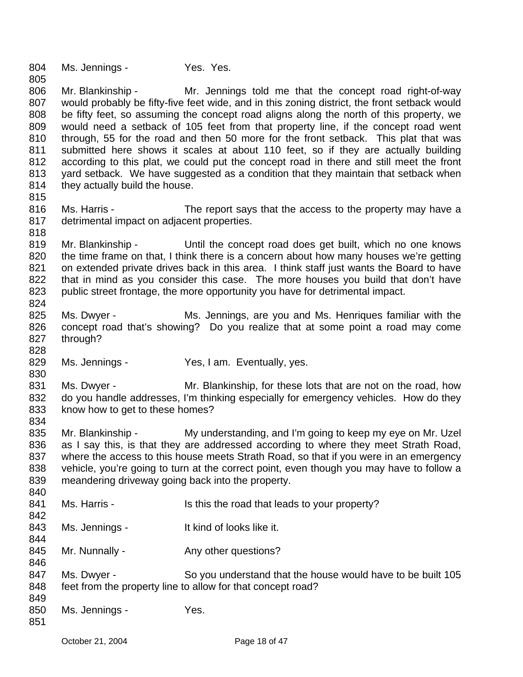804 Ms. Jennings - Yes. Yes.

805

815

828

830

834

806 807 808 809 810 811 812 813 814 Mr. Blankinship - Mr. Jennings told me that the concept road right-of-way would probably be fifty-five feet wide, and in this zoning district, the front setback would be fifty feet, so assuming the concept road aligns along the north of this property, we would need a setback of 105 feet from that property line, if the concept road went through, 55 for the road and then 50 more for the front setback. This plat that was submitted here shows it scales at about 110 feet, so if they are actually building according to this plat, we could put the concept road in there and still meet the front yard setback. We have suggested as a condition that they maintain that setback when they actually build the house.

- 816 817 818 Ms. Harris - The report says that the access to the property may have a detrimental impact on adjacent properties.
- 819 820 821 822 823 824 Mr. Blankinship - Until the concept road does get built, which no one knows the time frame on that, I think there is a concern about how many houses we're getting on extended private drives back in this area. I think staff just wants the Board to have that in mind as you consider this case. The more houses you build that don't have public street frontage, the more opportunity you have for detrimental impact.
- 825 826 827 Ms. Dwyer - Ms. Jennings, are you and Ms. Henriques familiar with the concept road that's showing? Do you realize that at some point a road may come through?
- 829 Ms. Jennings - Yes, I am. Eventually, yes.
- 831 832 833 Ms. Dwyer - Mr. Blankinship, for these lots that are not on the road, how do you handle addresses, I'm thinking especially for emergency vehicles. How do they know how to get to these homes?
- 835 836 837 838 839 Mr. Blankinship - My understanding, and I'm going to keep my eye on Mr. Uzel as I say this, is that they are addressed according to where they meet Strath Road, where the access to this house meets Strath Road, so that if you were in an emergency vehicle, you're going to turn at the correct point, even though you may have to follow a meandering driveway going back into the property.
- 840 841 842 843 844 845 846 847 848 849 850 851 Ms. Harris - Is this the road that leads to your property? Ms. Jennings - The Music of looks like it. Mr. Nunnally - Any other questions? Ms. Dwyer - So you understand that the house would have to be built 105 feet from the property line to allow for that concept road? Ms. Jennings - Yes.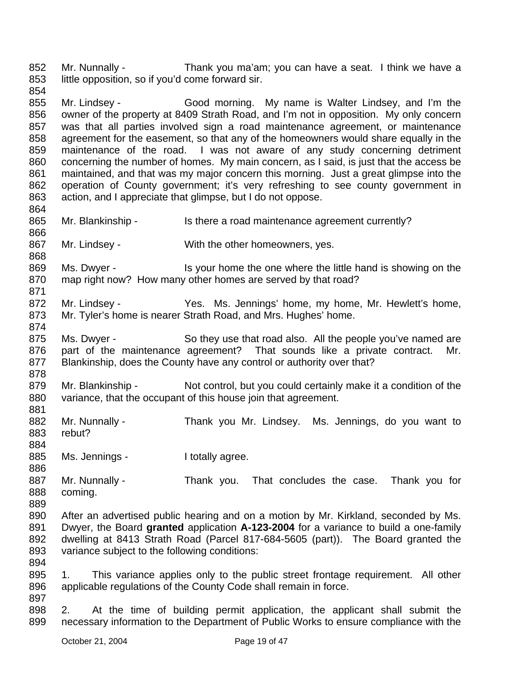852 853 854 Mr. Nunnally - Thank you ma'am; you can have a seat. I think we have a little opposition, so if you'd come forward sir.

855 856 857 858 859 860 861 862 863 Mr. Lindsey - Good morning. My name is Walter Lindsey, and I'm the owner of the property at 8409 Strath Road, and I'm not in opposition. My only concern was that all parties involved sign a road maintenance agreement, or maintenance agreement for the easement, so that any of the homeowners would share equally in the maintenance of the road. I was not aware of any study concerning detriment concerning the number of homes. My main concern, as I said, is just that the access be maintained, and that was my major concern this morning. Just a great glimpse into the operation of County government; it's very refreshing to see county government in action, and I appreciate that glimpse, but I do not oppose.

865 866 867 868 Mr. Blankinship - Is there a road maintenance agreement currently? Mr. Lindsey - With the other homeowners, yes.

869 870 871 Ms. Dwyer - Is your home the one where the little hand is showing on the map right now? How many other homes are served by that road?

872 873 Mr. Lindsey - Yes. Ms. Jennings' home, my home, Mr. Hewlett's home, Mr. Tyler's home is nearer Strath Road, and Mrs. Hughes' home.

875 876 877 878 Ms. Dwyer - So they use that road also. All the people you've named are part of the maintenance agreement? That sounds like a private contract. Mr. Blankinship, does the County have any control or authority over that?

879 880 Mr. Blankinship - Not control, but you could certainly make it a condition of the variance, that the occupant of this house join that agreement.

881 882 883 884 Mr. Nunnally - Thank you Mr. Lindsey. Ms. Jennings, do you want to rebut?

885 Ms. Jennings - The I totally agree.

887 888 889 Mr. Nunnally - Thank you. That concludes the case. Thank you for coming.

- 890 891 892 893 After an advertised public hearing and on a motion by Mr. Kirkland, seconded by Ms. Dwyer, the Board **granted** application **A-123-2004** for a variance to build a one-family dwelling at 8413 Strath Road (Parcel 817-684-5605 (part)). The Board granted the variance subject to the following conditions:
- 895 896 897 1. This variance applies only to the public street frontage requirement. All other applicable regulations of the County Code shall remain in force.
- 898 899 2. At the time of building permit application, the applicant shall submit the necessary information to the Department of Public Works to ensure compliance with the

864

874

886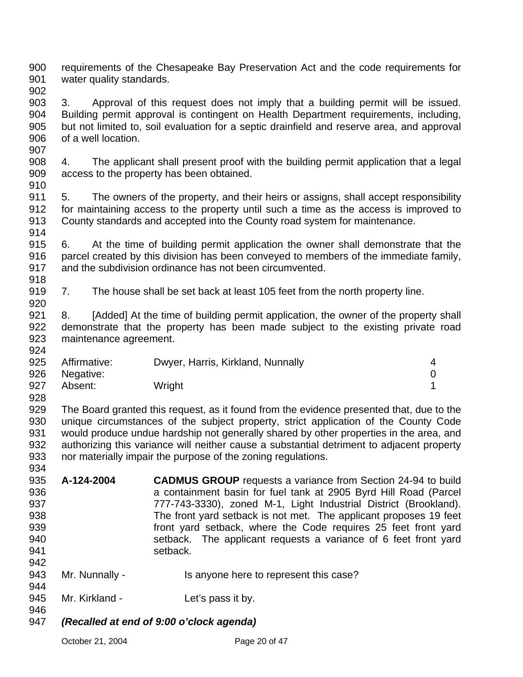900 901 requirements of the Chesapeake Bay Preservation Act and the code requirements for water quality standards.

902

903 904 905 906 3. Approval of this request does not imply that a building permit will be issued. Building permit approval is contingent on Health Department requirements, including, but not limited to, soil evaluation for a septic drainfield and reserve area, and approval of a well location.

908 909 4. The applicant shall present proof with the building permit application that a legal access to the property has been obtained.

910

918

920

907

911 912 913 914 5. The owners of the property, and their heirs or assigns, shall accept responsibility for maintaining access to the property until such a time as the access is improved to County standards and accepted into the County road system for maintenance.

915 916 917 6. At the time of building permit application the owner shall demonstrate that the parcel created by this division has been conveyed to members of the immediate family, and the subdivision ordinance has not been circumvented.

919 7. The house shall be set back at least 105 feet from the north property line.

921 922 923 924 8. [Added] At the time of building permit application, the owner of the property shall demonstrate that the property has been made subject to the existing private road maintenance agreement.

|     | 925 Affirmative: | Dwyer, Harris, Kirkland, Nunnally | 4 |
|-----|------------------|-----------------------------------|---|
|     | 926 Negative:    |                                   |   |
| 927 | Absent:          | Wright                            |   |
| 928 |                  |                                   |   |

929 930 931 932 933 934 The Board granted this request, as it found from the evidence presented that, due to the unique circumstances of the subject property, strict application of the County Code would produce undue hardship not generally shared by other properties in the area, and authorizing this variance will neither cause a substantial detriment to adjacent property nor materially impair the purpose of the zoning regulations.

- 935 936 937 938 939 940 941 **A-124-2004 CADMUS GROUP** requests a variance from Section 24-94 to build a containment basin for fuel tank at 2905 Byrd Hill Road (Parcel 777-743-3330), zoned M-1, Light Industrial District (Brookland). The front yard setback is not met. The applicant proposes 19 feet front yard setback, where the Code requires 25 feet front yard setback. The applicant requests a variance of 6 feet front yard setback.
- 943 Mr. Nunnally - Is anyone here to represent this case?
- 945 Mr. Kirkland - Let's pass it by.
- 946

942

944

947 *(Recalled at end of 9:00 o'clock agenda)*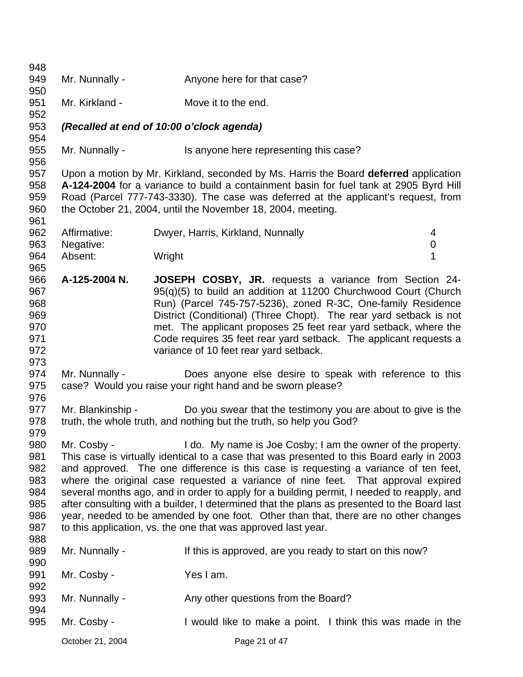| 948        |                  |                                                                                                                                    |
|------------|------------------|------------------------------------------------------------------------------------------------------------------------------------|
| 949        | Mr. Nunnally -   | Anyone here for that case?                                                                                                         |
| 950        |                  |                                                                                                                                    |
| 951        | Mr. Kirkland -   | Move it to the end.                                                                                                                |
| 952        |                  |                                                                                                                                    |
| 953        |                  | (Recalled at end of 10:00 o'clock agenda)                                                                                          |
| 954        |                  |                                                                                                                                    |
| 955        | Mr. Nunnally -   | Is anyone here representing this case?                                                                                             |
| 956        |                  |                                                                                                                                    |
| 957        |                  | Upon a motion by Mr. Kirkland, seconded by Ms. Harris the Board deferred application                                               |
| 958        |                  | A-124-2004 for a variance to build a containment basin for fuel tank at 2905 Byrd Hill                                             |
| 959        |                  | Road (Parcel 777-743-3330). The case was deferred at the applicant's request, from                                                 |
| 960        |                  | the October 21, 2004, until the November 18, 2004, meeting.                                                                        |
| 961        |                  |                                                                                                                                    |
| 962        | Affirmative:     | Dwyer, Harris, Kirkland, Nunnally<br>4                                                                                             |
| 963        | Negative:        | $\mathbf 0$                                                                                                                        |
| 964        | Absent:          | 1<br>Wright                                                                                                                        |
| 965<br>966 | A-125-2004 N.    |                                                                                                                                    |
| 967        |                  | <b>JOSEPH COSBY, JR.</b> requests a variance from Section 24-<br>95(g)(5) to build an addition at 11200 Churchwood Court (Church   |
| 968        |                  |                                                                                                                                    |
| 969        |                  | Run) (Parcel 745-757-5236), zoned R-3C, One-family Residence<br>District (Conditional) (Three Chopt). The rear yard setback is not |
| 970        |                  | met. The applicant proposes 25 feet rear yard setback, where the                                                                   |
| 971        |                  | Code requires 35 feet rear yard setback. The applicant requests a                                                                  |
| 972        |                  | variance of 10 feet rear yard setback.                                                                                             |
| 973        |                  |                                                                                                                                    |
| 974        | Mr. Nunnally -   | Does anyone else desire to speak with reference to this                                                                            |
| 975        |                  | case? Would you raise your right hand and be sworn please?                                                                         |
| 976        |                  |                                                                                                                                    |
| 977        |                  | Mr. Blankinship - Do you swear that the testimony you are about to give is the                                                     |
| 978        |                  | truth, the whole truth, and nothing but the truth, so help you God?                                                                |
| 979        |                  |                                                                                                                                    |
| 980        |                  | Mr. Cosby - I do. My name is Joe Cosby; I am the owner of the property.                                                            |
| 981        |                  | This case is virtually identical to a case that was presented to this Board early in 2003                                          |
| 982        |                  | and approved. The one difference is this case is requesting a variance of ten feet,                                                |
| 983        |                  | where the original case requested a variance of nine feet. That approval expired                                                   |
| 984        |                  | several months ago, and in order to apply for a building permit, I needed to reapply, and                                          |
| 985        |                  | after consulting with a builder, I determined that the plans as presented to the Board last                                        |
| 986        |                  | year, needed to be amended by one foot. Other than that, there are no other changes                                                |
| 987        |                  | to this application, vs. the one that was approved last year.                                                                      |
| 988        |                  |                                                                                                                                    |
| 989        | Mr. Nunnally -   | If this is approved, are you ready to start on this now?                                                                           |
| 990        |                  |                                                                                                                                    |
| 991        | Mr. Cosby -      | Yes I am.                                                                                                                          |
| 992        |                  |                                                                                                                                    |
| 993        | Mr. Nunnally -   | Any other questions from the Board?                                                                                                |
| 994        |                  |                                                                                                                                    |
| 995        | Mr. Cosby -      | I would like to make a point. I think this was made in the                                                                         |
|            | October 21, 2004 | Page 21 of 47                                                                                                                      |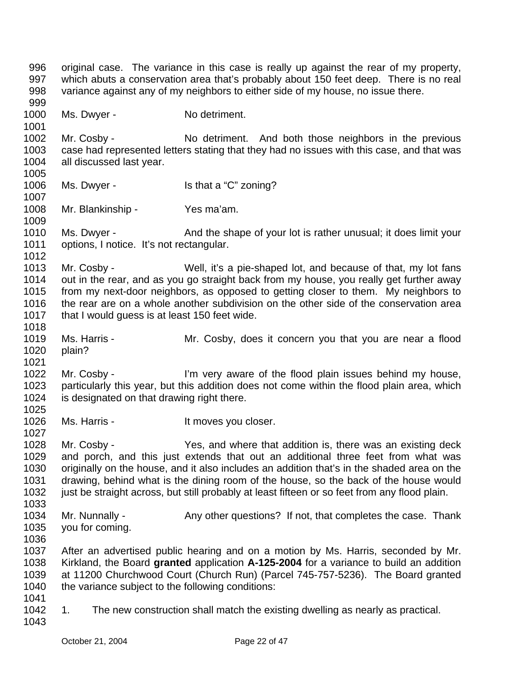996 997 998 999 1000 1001 1002 1003 1004 1005 1006 1007 1008 1009 1010 1011 1012 1013 1014 1015 1016 1017 1018 1019 1020 1021 1022 1023 1024 1025 1026 1027 1028 1029 1030 1031 1032 1033 1034 1035 1036 1037 1038 1039 1040 1041 1042 1043 original case. The variance in this case is really up against the rear of my property, which abuts a conservation area that's probably about 150 feet deep. There is no real variance against any of my neighbors to either side of my house, no issue there. Ms. Dwyer - No detriment. Mr. Cosby - No detriment. And both those neighbors in the previous case had represented letters stating that they had no issues with this case, and that was all discussed last year. Ms. Dwyer - Is that a "C" zoning? Mr. Blankinship - Yes ma'am. Ms. Dwyer - And the shape of your lot is rather unusual; it does limit your options, I notice. It's not rectangular. Mr. Cosby - Well, it's a pie-shaped lot, and because of that, my lot fans out in the rear, and as you go straight back from my house, you really get further away from my next-door neighbors, as opposed to getting closer to them. My neighbors to the rear are on a whole another subdivision on the other side of the conservation area that I would guess is at least 150 feet wide. Ms. Harris - The Mr. Cosby, does it concern you that you are near a flood plain? Mr. Cosby - I'm very aware of the flood plain issues behind my house, particularly this year, but this addition does not come within the flood plain area, which is designated on that drawing right there. Ms. Harris - The Music Harris - The Music Harris - The Music It moves you closer. Mr. Cosby - Yes, and where that addition is, there was an existing deck and porch, and this just extends that out an additional three feet from what was originally on the house, and it also includes an addition that's in the shaded area on the drawing, behind what is the dining room of the house, so the back of the house would just be straight across, but still probably at least fifteen or so feet from any flood plain. Mr. Nunnally - Any other questions? If not, that completes the case. Thank you for coming. After an advertised public hearing and on a motion by Ms. Harris, seconded by Mr. Kirkland, the Board **granted** application **A-125-2004** for a variance to build an addition at 11200 Churchwood Court (Church Run) (Parcel 745-757-5236). The Board granted the variance subject to the following conditions: 1. The new construction shall match the existing dwelling as nearly as practical.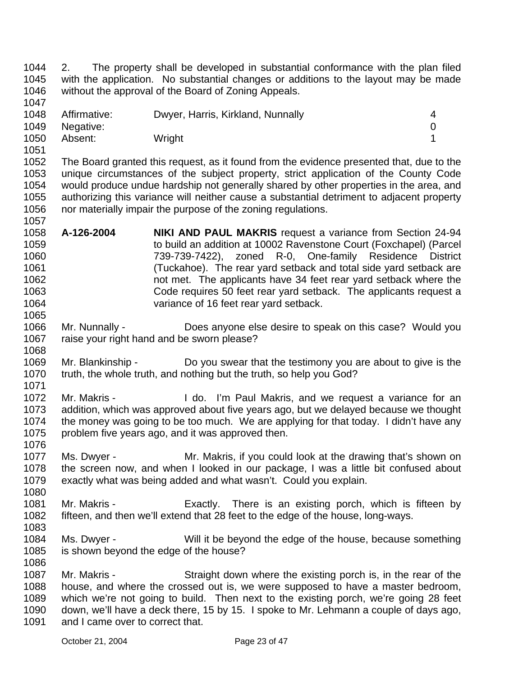1044 1045 1046 1047 2. The property shall be developed in substantial conformance with the plan filed with the application. No substantial changes or additions to the layout may be made without the approval of the Board of Zoning Appeals.

| 1048 | Affirmative: | Dwyer, Harris, Kirkland, Nunnally |  |
|------|--------------|-----------------------------------|--|
| 1049 | Negative:    |                                   |  |
| 1050 | Absent:      | Wright                            |  |

1052 1053 1054 1055 1056 1057 The Board granted this request, as it found from the evidence presented that, due to the unique circumstances of the subject property, strict application of the County Code would produce undue hardship not generally shared by other properties in the area, and authorizing this variance will neither cause a substantial detriment to adjacent property nor materially impair the purpose of the zoning regulations.

- 1058 1059 1060 1061 1062 1063 1064 **A-126-2004 NIKI AND PAUL MAKRIS** request a variance from Section 24-94 to build an addition at 10002 Ravenstone Court (Foxchapel) (Parcel 739-739-7422), zoned R-0, One-family Residence District (Tuckahoe). The rear yard setback and total side yard setback are not met. The applicants have 34 feet rear yard setback where the Code requires 50 feet rear yard setback. The applicants request a variance of 16 feet rear yard setback.
- 1066 1067 1068 Mr. Nunnally - Does anyone else desire to speak on this case? Would you raise your right hand and be sworn please?
- 1069 1070 1071 Mr. Blankinship - Do you swear that the testimony you are about to give is the truth, the whole truth, and nothing but the truth, so help you God?
- 1072 1073 1074 1075 Mr. Makris - The Music Co. I'm Paul Makris, and we request a variance for an addition, which was approved about five years ago, but we delayed because we thought the money was going to be too much. We are applying for that today. I didn't have any problem five years ago, and it was approved then.
- 1077 1078 1079 Ms. Dwyer - Mr. Makris, if you could look at the drawing that's shown on the screen now, and when I looked in our package, I was a little bit confused about exactly what was being added and what wasn't. Could you explain.
- 1081 1082 1083 Mr. Makris - Exactly. There is an existing porch, which is fifteen by fifteen, and then we'll extend that 28 feet to the edge of the house, long-ways.
- 1084 1085 1086 Ms. Dwyer - Will it be beyond the edge of the house, because something is shown beyond the edge of the house?
- 1087 1088 1089 1090 1091 Mr. Makris - Straight down where the existing porch is, in the rear of the house, and where the crossed out is, we were supposed to have a master bedroom, which we're not going to build. Then next to the existing porch, we're going 28 feet down, we'll have a deck there, 15 by 15. I spoke to Mr. Lehmann a couple of days ago, and I came over to correct that.

1051

1065

1076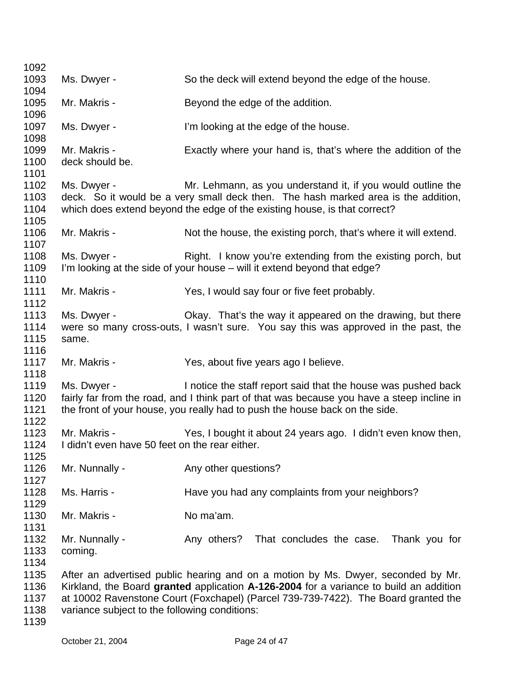| 1092                                 |                                                                |                                                                                                                                                                                                                                                                  |
|--------------------------------------|----------------------------------------------------------------|------------------------------------------------------------------------------------------------------------------------------------------------------------------------------------------------------------------------------------------------------------------|
| 1093                                 | Ms. Dwyer -                                                    | So the deck will extend beyond the edge of the house.                                                                                                                                                                                                            |
| 1094                                 |                                                                |                                                                                                                                                                                                                                                                  |
| 1095<br>1096                         | Mr. Makris -                                                   | Beyond the edge of the addition.                                                                                                                                                                                                                                 |
| 1097<br>1098                         | Ms. Dwyer -                                                    | I'm looking at the edge of the house.                                                                                                                                                                                                                            |
| 1099<br>1100<br>1101                 | Mr. Makris -<br>deck should be.                                | Exactly where your hand is, that's where the addition of the                                                                                                                                                                                                     |
| 1102<br>1103<br>1104<br>1105         | Ms. Dwyer -                                                    | Mr. Lehmann, as you understand it, if you would outline the<br>deck. So it would be a very small deck then. The hash marked area is the addition,<br>which does extend beyond the edge of the existing house, is that correct?                                   |
| 1106<br>1107                         | Mr. Makris -                                                   | Not the house, the existing porch, that's where it will extend.                                                                                                                                                                                                  |
| 1108<br>1109<br>1110                 | Ms. Dwyer -                                                    | Right. I know you're extending from the existing porch, but<br>I'm looking at the side of your house – will it extend beyond that edge?                                                                                                                          |
| 1111<br>1112                         | Mr. Makris -                                                   | Yes, I would say four or five feet probably.                                                                                                                                                                                                                     |
| 1113<br>1114<br>1115<br>1116         | Ms. Dwyer -<br>same.                                           | Okay. That's the way it appeared on the drawing, but there<br>were so many cross-outs, I wasn't sure. You say this was approved in the past, the                                                                                                                 |
| 1117<br>1118                         | Mr. Makris -                                                   | Yes, about five years ago I believe.                                                                                                                                                                                                                             |
| 1119<br>1120<br>1121<br>1122         | Ms. Dwyer -                                                    | I notice the staff report said that the house was pushed back<br>fairly far from the road, and I think part of that was because you have a steep incline in<br>the front of your house, you really had to push the house back on the side.                       |
| 1123<br>1124                         | Mr. Makris -<br>I didn't even have 50 feet on the rear either. | Yes, I bought it about 24 years ago. I didn't even know then,                                                                                                                                                                                                    |
| 1125<br>1126<br>1127                 | Mr. Nunnally -                                                 | Any other questions?                                                                                                                                                                                                                                             |
| 1128<br>1129                         | Ms. Harris -                                                   | Have you had any complaints from your neighbors?                                                                                                                                                                                                                 |
| 1130<br>1131                         | Mr. Makris -                                                   | No ma'am.                                                                                                                                                                                                                                                        |
| 1132<br>1133<br>1134                 | Mr. Nunnally -<br>coming.                                      | Any others? That concludes the case. Thank you for                                                                                                                                                                                                               |
| 1135<br>1136<br>1137<br>1138<br>1139 | variance subject to the following conditions:                  | After an advertised public hearing and on a motion by Ms. Dwyer, seconded by Mr.<br>Kirkland, the Board granted application A-126-2004 for a variance to build an addition<br>at 10002 Ravenstone Court (Foxchapel) (Parcel 739-739-7422). The Board granted the |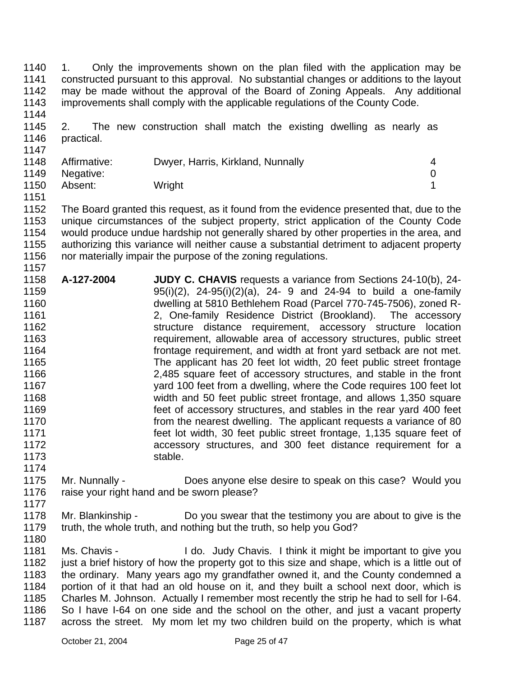1140 1141 1142 1143 1144 1. Only the improvements shown on the plan filed with the application may be constructed pursuant to this approval. No substantial changes or additions to the layout may be made without the approval of the Board of Zoning Appeals. Any additional improvements shall comply with the applicable regulations of the County Code.

1145 1146 2. The new construction shall match the existing dwelling as nearly as practical.

| .    |                |                                   |  |
|------|----------------|-----------------------------------|--|
| 1148 | Affirmative:   | Dwyer, Harris, Kirkland, Nunnally |  |
|      | 1149 Negative: |                                   |  |
| 1150 | Absent:        | Wright                            |  |

1151

1157

1147

1152 1153 1154 1155 1156 The Board granted this request, as it found from the evidence presented that, due to the unique circumstances of the subject property, strict application of the County Code would produce undue hardship not generally shared by other properties in the area, and authorizing this variance will neither cause a substantial detriment to adjacent property nor materially impair the purpose of the zoning regulations.

- 1158 1159 1160 1161 1162 1163 1164 1165 1166 1167 1168 1169 1170 1171 1172 1173 1174 **A-127-2004 JUDY C. CHAVIS** requests a variance from Sections 24-10(b), 24- 95(i)(2), 24-95(i)(2)(a), 24- 9 and 24-94 to build a one-family dwelling at 5810 Bethlehem Road (Parcel 770-745-7506), zoned R-2, One-family Residence District (Brookland). The accessory structure distance requirement, accessory structure location requirement, allowable area of accessory structures, public street frontage requirement, and width at front yard setback are not met. The applicant has 20 feet lot width, 20 feet public street frontage 2,485 square feet of accessory structures, and stable in the front yard 100 feet from a dwelling, where the Code requires 100 feet lot width and 50 feet public street frontage, and allows 1,350 square feet of accessory structures, and stables in the rear yard 400 feet from the nearest dwelling. The applicant requests a variance of 80 feet lot width, 30 feet public street frontage, 1,135 square feet of accessory structures, and 300 feet distance requirement for a stable.
- 1175 1176 1177 Mr. Nunnally - Does anyone else desire to speak on this case? Would you raise your right hand and be sworn please?
- 1178 1179 Mr. Blankinship - Do you swear that the testimony you are about to give is the truth, the whole truth, and nothing but the truth, so help you God?
- 1180

1181 1182 1183 1184 1185 1186 1187 Ms. Chavis - I do. Judy Chavis. I think it might be important to give you just a brief history of how the property got to this size and shape, which is a little out of the ordinary. Many years ago my grandfather owned it, and the County condemned a portion of it that had an old house on it, and they built a school next door, which is Charles M. Johnson. Actually I remember most recently the strip he had to sell for I-64. So I have I-64 on one side and the school on the other, and just a vacant property across the street. My mom let my two children build on the property, which is what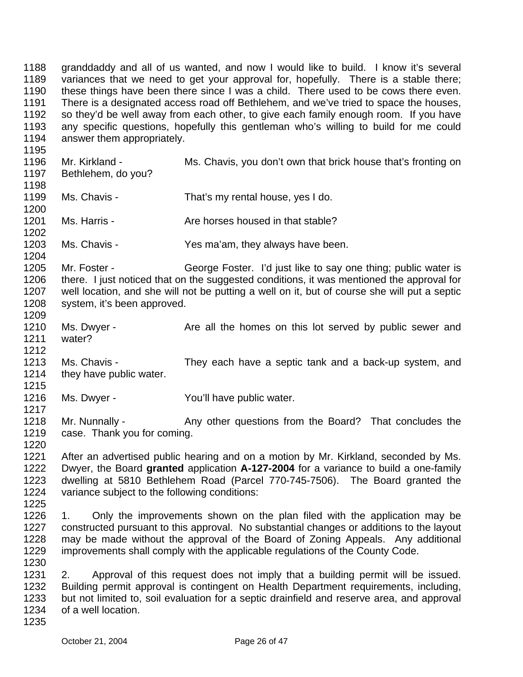1188 1189 1190 1191 1192 1193 1194 1195 1196 1197 1198 1199 1200 1201 1202 1203 1204 1205 1206 1207 1208 1209 1210 1211 1212 1213 1214 1215 1216 1217 1218 1219 1220 1221 1222 1223 1224 1225 1226 1227 1228 1229 1230 1231 1232 1233 1234 1235 granddaddy and all of us wanted, and now I would like to build. I know it's several variances that we need to get your approval for, hopefully. There is a stable there; these things have been there since I was a child. There used to be cows there even. There is a designated access road off Bethlehem, and we've tried to space the houses, so they'd be well away from each other, to give each family enough room. If you have any specific questions, hopefully this gentleman who's willing to build for me could answer them appropriately. Mr. Kirkland - Ms. Chavis, you don't own that brick house that's fronting on Bethlehem, do you? Ms. Chavis - That's my rental house, yes I do. Ms. Harris - The Are horses housed in that stable? Ms. Chavis - Yes ma'am, they always have been. Mr. Foster - George Foster. I'd just like to say one thing; public water is there. I just noticed that on the suggested conditions, it was mentioned the approval for well location, and she will not be putting a well on it, but of course she will put a septic system, it's been approved. Ms. Dwyer - The Are all the homes on this lot served by public sewer and water? Ms. Chavis - They each have a septic tank and a back-up system, and they have public water. Ms. Dwyer - You'll have public water. Mr. Nunnally - Any other questions from the Board? That concludes the case. Thank you for coming. After an advertised public hearing and on a motion by Mr. Kirkland, seconded by Ms. Dwyer, the Board **granted** application **A-127-2004** for a variance to build a one-family dwelling at 5810 Bethlehem Road (Parcel 770-745-7506). The Board granted the variance subject to the following conditions: 1. Only the improvements shown on the plan filed with the application may be constructed pursuant to this approval. No substantial changes or additions to the layout may be made without the approval of the Board of Zoning Appeals. Any additional improvements shall comply with the applicable regulations of the County Code. 2. Approval of this request does not imply that a building permit will be issued. Building permit approval is contingent on Health Department requirements, including, but not limited to, soil evaluation for a septic drainfield and reserve area, and approval of a well location.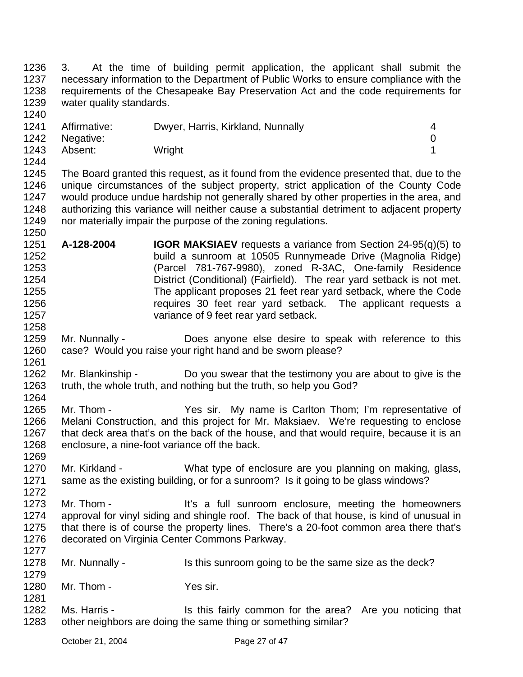1236 1237 1238 1239 1240 3. At the time of building permit application, the applicant shall submit the necessary information to the Department of Public Works to ensure compliance with the requirements of the Chesapeake Bay Preservation Act and the code requirements for water quality standards.

| .    |                |                                   |  |
|------|----------------|-----------------------------------|--|
| 1241 | Affirmative:   | Dwyer, Harris, Kirkland, Nunnally |  |
|      | 1242 Negative: |                                   |  |
| 1243 | Absent:        | Wright                            |  |

1244

1258

1261

1264

1279

1281

1245 1246 1247 1248 1249 1250 The Board granted this request, as it found from the evidence presented that, due to the unique circumstances of the subject property, strict application of the County Code would produce undue hardship not generally shared by other properties in the area, and authorizing this variance will neither cause a substantial detriment to adjacent property nor materially impair the purpose of the zoning regulations.

- 1251 1252 1253 1254 1255 1256 1257 **A-128-2004 IGOR MAKSIAEV** requests a variance from Section 24-95(q)(5) to build a sunroom at 10505 Runnymeade Drive (Magnolia Ridge) (Parcel 781-767-9980), zoned R-3AC, One-family Residence District (Conditional) (Fairfield). The rear yard setback is not met. The applicant proposes 21 feet rear yard setback, where the Code requires 30 feet rear yard setback. The applicant requests a variance of 9 feet rear yard setback.
- 1259 1260 Mr. Nunnally - **Does** anyone else desire to speak with reference to this case? Would you raise your right hand and be sworn please?
- 1262 1263 Mr. Blankinship - Do you swear that the testimony you are about to give is the truth, the whole truth, and nothing but the truth, so help you God?
- 1265 1266 1267 1268 1269 Mr. Thom - The Yes sir. My name is Carlton Thom; I'm representative of Melani Construction, and this project for Mr. Maksiaev. We're requesting to enclose that deck area that's on the back of the house, and that would require, because it is an enclosure, a nine-foot variance off the back.
- 1270 1271 1272 Mr. Kirkland - What type of enclosure are you planning on making, glass, same as the existing building, or for a sunroom? Is it going to be glass windows?
- 1273 1274 1275 1276 1277 Mr. Thom - It's a full sunroom enclosure, meeting the homeowners approval for vinyl siding and shingle roof. The back of that house, is kind of unusual in that there is of course the property lines. There's a 20-foot common area there that's decorated on Virginia Center Commons Parkway.
- 1278 Mr. Nunnally - Is this sunroom going to be the same size as the deck?
- 1280 Mr. Thom - Yes sir.
- 1282 1283 Ms. Harris - Is this fairly common for the area? Are you noticing that other neighbors are doing the same thing or something similar?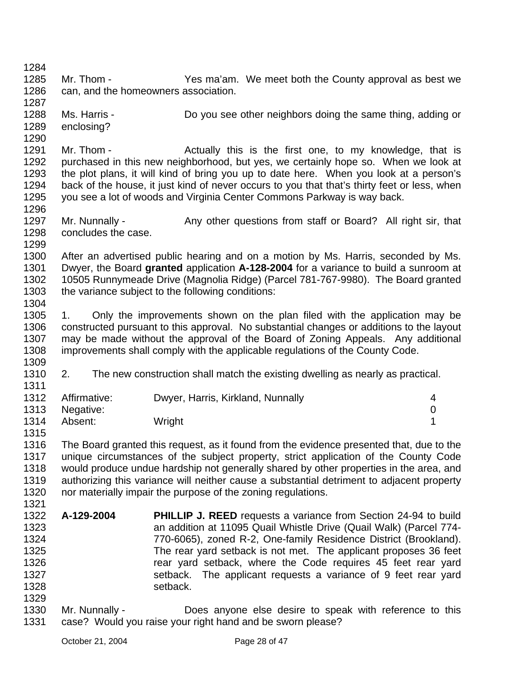1284 1285 1286 1287 1288 1289 1290 1291 1292 1293 1294 1295 1296 1297 1298 1299 1300 1301 1302 1303 1304 1305 1306 1307 1308 1309 1310 1311 1312 1313 1314 1315 1316 1317 1318 1319 1320 1321 1322 1323 1324 1325 1326 1327 1328 1329 1330 1331 Mr. Thom - Thom - Yes ma'am. We meet both the County approval as best we can, and the homeowners association. Ms. Harris - Do you see other neighbors doing the same thing, adding or enclosing? Mr. Thom - Thom - Actually this is the first one, to my knowledge, that is purchased in this new neighborhood, but yes, we certainly hope so. When we look at the plot plans, it will kind of bring you up to date here. When you look at a person's back of the house, it just kind of never occurs to you that that's thirty feet or less, when you see a lot of woods and Virginia Center Commons Parkway is way back. Mr. Nunnally - Any other questions from staff or Board? All right sir, that concludes the case. After an advertised public hearing and on a motion by Ms. Harris, seconded by Ms. Dwyer, the Board **granted** application **A-128-2004** for a variance to build a sunroom at 10505 Runnymeade Drive (Magnolia Ridge) (Parcel 781-767-9980). The Board granted the variance subject to the following conditions: 1. Only the improvements shown on the plan filed with the application may be constructed pursuant to this approval. No substantial changes or additions to the layout may be made without the approval of the Board of Zoning Appeals. Any additional improvements shall comply with the applicable regulations of the County Code. 2. The new construction shall match the existing dwelling as nearly as practical. Affirmative: Dwyer, Harris, Kirkland, Nunnally 4 Negative: 0 Absent: Wright 1 The Board granted this request, as it found from the evidence presented that, due to the unique circumstances of the subject property, strict application of the County Code would produce undue hardship not generally shared by other properties in the area, and authorizing this variance will neither cause a substantial detriment to adjacent property nor materially impair the purpose of the zoning regulations. **A-129-2004 PHILLIP J. REED** requests a variance from Section 24-94 to build an addition at 11095 Quail Whistle Drive (Quail Walk) (Parcel 774- 770-6065), zoned R-2, One-family Residence District (Brookland). The rear yard setback is not met. The applicant proposes 36 feet rear yard setback, where the Code requires 45 feet rear yard setback. The applicant requests a variance of 9 feet rear yard setback. Mr. Nunnally - **Does** anyone else desire to speak with reference to this case? Would you raise your right hand and be sworn please?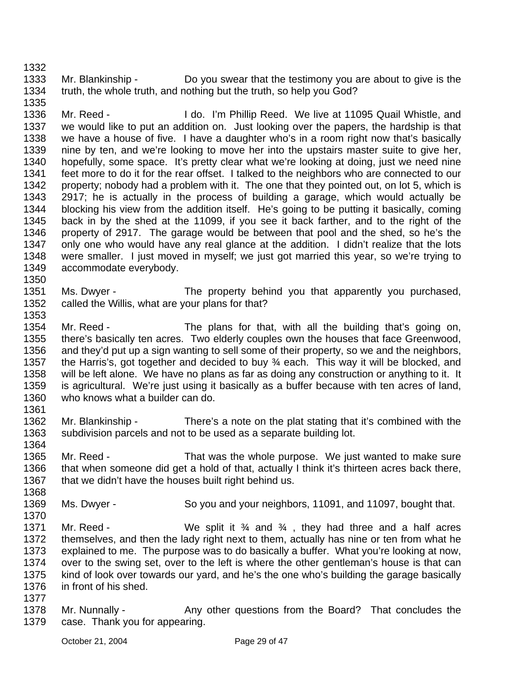1333 1334 Mr. Blankinship - Do you swear that the testimony you are about to give is the truth, the whole truth, and nothing but the truth, so help you God?

1336 1337 1338 1339 1340 1341 1342 1343 1344 1345 1346 1347 1348 1349 1350 Mr. Reed - The Muslim Phillip Reed. We live at 11095 Quail Whistle, and we would like to put an addition on. Just looking over the papers, the hardship is that we have a house of five. I have a daughter who's in a room right now that's basically nine by ten, and we're looking to move her into the upstairs master suite to give her, hopefully, some space. It's pretty clear what we're looking at doing, just we need nine feet more to do it for the rear offset. I talked to the neighbors who are connected to our property; nobody had a problem with it. The one that they pointed out, on lot 5, which is 2917; he is actually in the process of building a garage, which would actually be blocking his view from the addition itself. He's going to be putting it basically, coming back in by the shed at the 11099, if you see it back farther, and to the right of the property of 2917. The garage would be between that pool and the shed, so he's the only one who would have any real glance at the addition. I didn't realize that the lots were smaller. I just moved in myself; we just got married this year, so we're trying to accommodate everybody.

- 1351 1352 1353 Ms. Dwyer - The property behind you that apparently you purchased, called the Willis, what are your plans for that?
- 1354 1355 1356 1357 1358 1359 1360 1361 Mr. Reed - The plans for that, with all the building that's going on, there's basically ten acres. Two elderly couples own the houses that face Greenwood, and they'd put up a sign wanting to sell some of their property, so we and the neighbors, the Harris's, got together and decided to buy  $\frac{3}{4}$  each. This way it will be blocked, and will be left alone. We have no plans as far as doing any construction or anything to it. It is agricultural. We're just using it basically as a buffer because with ten acres of land, who knows what a builder can do.
- 1362 1363 Mr. Blankinship - There's a note on the plat stating that it's combined with the subdivision parcels and not to be used as a separate building lot.
- 1364 1365 1366 1367 Mr. Reed - That was the whole purpose. We just wanted to make sure that when someone did get a hold of that, actually I think it's thirteen acres back there, that we didn't have the houses built right behind us.
- 1369 Ms. Dwyer - So you and your neighbors, 11091, and 11097, bought that.
- 1370 1371 1372 1373 1374 1375 1376 1377 Mr. Reed - We split it  $\frac{3}{4}$  and  $\frac{3}{4}$ , they had three and a half acres themselves, and then the lady right next to them, actually has nine or ten from what he explained to me. The purpose was to do basically a buffer. What you're looking at now, over to the swing set, over to the left is where the other gentleman's house is that can kind of look over towards our yard, and he's the one who's building the garage basically in front of his shed.
- 1378 1379 Mr. Nunnally - Any other questions from the Board? That concludes the case. Thank you for appearing.

1332

1335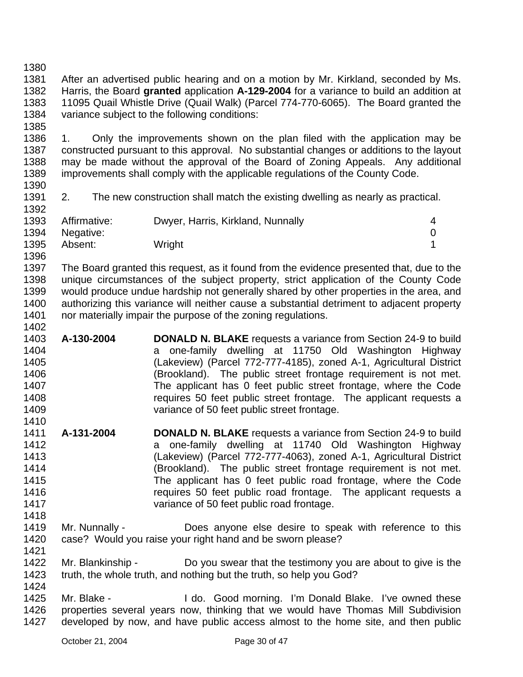1380

1385

1392

1396

1402

1410

1381 1382 1383 1384 After an advertised public hearing and on a motion by Mr. Kirkland, seconded by Ms. Harris, the Board **granted** application **A-129-2004** for a variance to build an addition at 11095 Quail Whistle Drive (Quail Walk) (Parcel 774-770-6065). The Board granted the variance subject to the following conditions:

1386 1387 1388 1389 1390 1. Only the improvements shown on the plan filed with the application may be constructed pursuant to this approval. No substantial changes or additions to the layout may be made without the approval of the Board of Zoning Appeals. Any additional improvements shall comply with the applicable regulations of the County Code.

1391 2. The new construction shall match the existing dwelling as nearly as practical.

| 1393 | Affirmative:   | Dwyer, Harris, Kirkland, Nunnally |  |
|------|----------------|-----------------------------------|--|
|      | 1394 Negative: |                                   |  |
| 1395 | Absent:        | Wright                            |  |

1397 1398 1399 1400 1401 The Board granted this request, as it found from the evidence presented that, due to the unique circumstances of the subject property, strict application of the County Code would produce undue hardship not generally shared by other properties in the area, and authorizing this variance will neither cause a substantial detriment to adjacent property nor materially impair the purpose of the zoning regulations.

- 1403 1404 1405 1406 1407 1408 1409 **A-130-2004 DONALD N. BLAKE** requests a variance from Section 24-9 to build a one-family dwelling at 11750 Old Washington Highway (Lakeview) (Parcel 772-777-4185), zoned A-1, Agricultural District (Brookland). The public street frontage requirement is not met. The applicant has 0 feet public street frontage, where the Code requires 50 feet public street frontage. The applicant requests a variance of 50 feet public street frontage.
- 1411 1412 1413 1414 1415 1416 1417 1418 **A-131-2004 DONALD N. BLAKE** requests a variance from Section 24-9 to build a one-family dwelling at 11740 Old Washington Highway (Lakeview) (Parcel 772-777-4063), zoned A-1, Agricultural District (Brookland). The public street frontage requirement is not met. The applicant has 0 feet public road frontage, where the Code requires 50 feet public road frontage. The applicant requests a variance of 50 feet public road frontage.
- 1419 1420 1421 Mr. Nunnally - **Does anyone else desire to speak with reference to this** case? Would you raise your right hand and be sworn please?
- 1422 1423 1424 Mr. Blankinship - Do you swear that the testimony you are about to give is the truth, the whole truth, and nothing but the truth, so help you God?
- 1425 1426 1427 Mr. Blake - I do. Good morning. I'm Donald Blake. I've owned these properties several years now, thinking that we would have Thomas Mill Subdivision developed by now, and have public access almost to the home site, and then public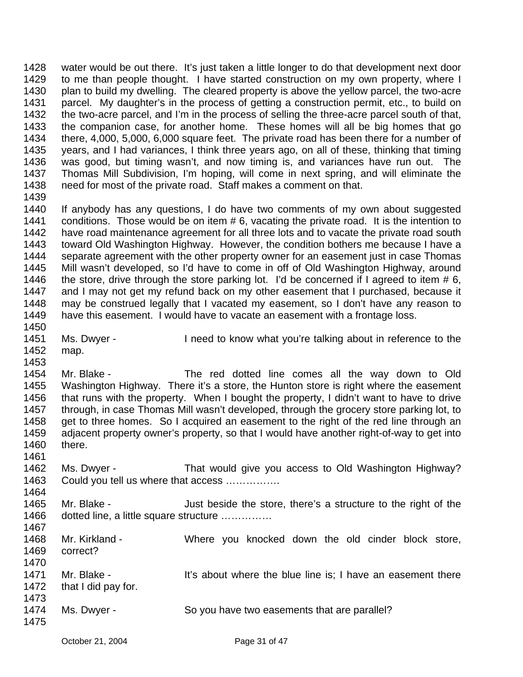1428 1429 1430 1431 1432 1433 1434 1435 1436 1437 1438 1439 water would be out there. It's just taken a little longer to do that development next door to me than people thought. I have started construction on my own property, where I plan to build my dwelling. The cleared property is above the yellow parcel, the two-acre parcel. My daughter's in the process of getting a construction permit, etc., to build on the two-acre parcel, and I'm in the process of selling the three-acre parcel south of that, the companion case, for another home. These homes will all be big homes that go there, 4,000, 5,000, 6,000 square feet. The private road has been there for a number of years, and I had variances, I think three years ago, on all of these, thinking that timing was good, but timing wasn't, and now timing is, and variances have run out. The Thomas Mill Subdivision, I'm hoping, will come in next spring, and will eliminate the need for most of the private road. Staff makes a comment on that.

1440 1441 1442 1443 1444 1445 1446 1447 1448 1449 If anybody has any questions, I do have two comments of my own about suggested conditions. Those would be on item # 6, vacating the private road. It is the intention to have road maintenance agreement for all three lots and to vacate the private road south toward Old Washington Highway. However, the condition bothers me because I have a separate agreement with the other property owner for an easement just in case Thomas Mill wasn't developed, so I'd have to come in off of Old Washington Highway, around the store, drive through the store parking lot. I'd be concerned if I agreed to item  $# 6$ , and I may not get my refund back on my other easement that I purchased, because it may be construed legally that I vacated my easement, so I don't have any reason to have this easement. I would have to vacate an easement with a frontage loss.

1451 1452 Ms. Dwyer - I need to know what you're talking about in reference to the map.

1453

1461

1464

1450

1454 1455 1456 1457 1458 1459 1460 Mr. Blake - The red dotted line comes all the way down to Old Washington Highway. There it's a store, the Hunton store is right where the easement that runs with the property. When I bought the property, I didn't want to have to drive through, in case Thomas Mill wasn't developed, through the grocery store parking lot, to get to three homes. So I acquired an easement to the right of the red line through an adjacent property owner's property, so that I would have another right-of-way to get into there.

1462 1463 Ms. Dwyer - That would give you access to Old Washington Highway? Could you tell us where that access …………….

1465 1466 1467 Mr. Blake - Just beside the store, there's a structure to the right of the dotted line, a little square structure ……………

1468 1469 1470 1471 1472 1473 1474 1475 Mr. Kirkland - Where you knocked down the old cinder block store, correct? Mr. Blake - It's about where the blue line is; I have an easement there that I did pay for. Ms. Dwyer - So you have two easements that are parallel?

October 21, 2004 Page 31 of 47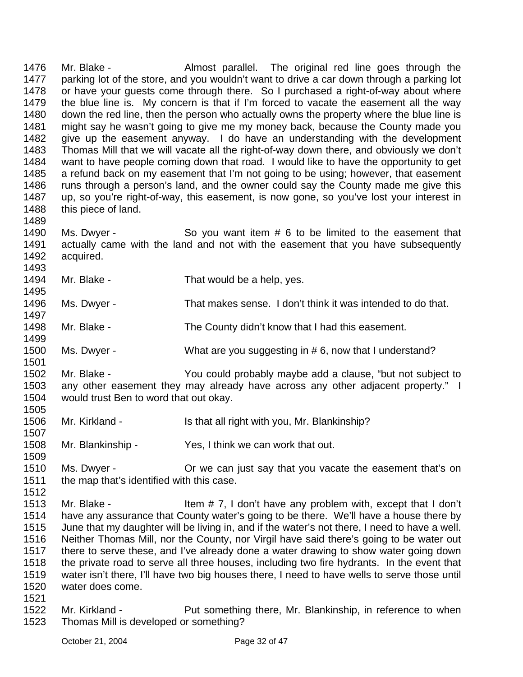1476 1477 1478 1479 1480 1481 1482 1483 1484 1485 1486 1487 1488 1489 Mr. Blake - The Salmost parallel. The original red line goes through the parking lot of the store, and you wouldn't want to drive a car down through a parking lot or have your guests come through there. So I purchased a right-of-way about where the blue line is. My concern is that if I'm forced to vacate the easement all the way down the red line, then the person who actually owns the property where the blue line is might say he wasn't going to give me my money back, because the County made you give up the easement anyway. I do have an understanding with the development Thomas Mill that we will vacate all the right-of-way down there, and obviously we don't want to have people coming down that road. I would like to have the opportunity to get a refund back on my easement that I'm not going to be using; however, that easement runs through a person's land, and the owner could say the County made me give this up, so you're right-of-way, this easement, is now gone, so you've lost your interest in this piece of land.

1490 1491 1492 1493 Ms. Dwyer - So you want item # 6 to be limited to the easement that actually came with the land and not with the easement that you have subsequently acquired.

1494 Mr. Blake - That would be a help, yes.

1496 1497 Ms. Dwyer - That makes sense. I don't think it was intended to do that.

1498 1499 Mr. Blake - The County didn't know that I had this easement.

1500 Ms. Dwyer - What are you suggesting in #6, now that I understand?

1502 1503 1504 1505 Mr. Blake - You could probably maybe add a clause, "but not subject to any other easement they may already have across any other adjacent property." I would trust Ben to word that out okay.

1506 Mr. Kirkland - Is that all right with you, Mr. Blankinship?

1508 Mr. Blankinship - Yes, I think we can work that out.

1509 1510 1511 Ms. Dwyer - **Or we can just say that you vacate the easement that's on** the map that's identified with this case.

1513 1514 1515 1516 1517 1518 1519 1520 Mr. Blake - Item  $# 7$ , I don't have any problem with, except that I don't have any assurance that County water's going to be there. We'll have a house there by June that my daughter will be living in, and if the water's not there, I need to have a well. Neither Thomas Mill, nor the County, nor Virgil have said there's going to be water out there to serve these, and I've already done a water drawing to show water going down the private road to serve all three houses, including two fire hydrants. In the event that water isn't there, I'll have two big houses there, I need to have wells to serve those until water does come.

1522 1523 Mr. Kirkland - Put something there, Mr. Blankinship, in reference to when Thomas Mill is developed or something?

1495

1501

1507

1512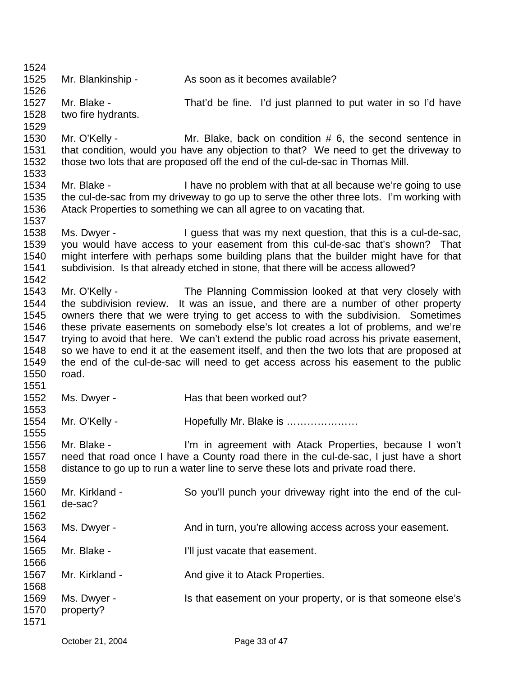1524 1525 1526 1527 1528 1529 1530 1531 1532 1533 1534 1535 1536 1537 1538 1539 1540 1541 1542 1543 1544 1545 1546 1547 1548 1549 1550 1551 1552 1553 1554 1555 1556 1557 1558 1559 1560 1561 1562 1563 1564 1565 1566 1567 1568 1569 1570 1571 Mr. Blankinship - As soon as it becomes available? Mr. Blake - That'd be fine. I'd just planned to put water in so I'd have two fire hydrants. Mr. O'Kelly - Mr. Blake, back on condition # 6, the second sentence in that condition, would you have any objection to that? We need to get the driveway to those two lots that are proposed off the end of the cul-de-sac in Thomas Mill. Mr. Blake - Thave no problem with that at all because we're going to use the cul-de-sac from my driveway to go up to serve the other three lots. I'm working with Atack Properties to something we can all agree to on vacating that. Ms. Dwyer - The Unit of that was my next question, that this is a cul-de-sac, you would have access to your easement from this cul-de-sac that's shown? That might interfere with perhaps some building plans that the builder might have for that subdivision. Is that already etched in stone, that there will be access allowed? Mr. O'Kelly - The Planning Commission looked at that very closely with the subdivision review. It was an issue, and there are a number of other property owners there that we were trying to get access to with the subdivision. Sometimes these private easements on somebody else's lot creates a lot of problems, and we're trying to avoid that here. We can't extend the public road across his private easement, so we have to end it at the easement itself, and then the two lots that are proposed at the end of the cul-de-sac will need to get access across his easement to the public road. Ms. Dwyer - **Has that been worked out?** Mr. O'Kelly - **Hopefully Mr. Blake is ………………** Mr. Blake - The State of Tim in agreement with Atack Properties, because I won't need that road once I have a County road there in the cul-de-sac, I just have a short distance to go up to run a water line to serve these lots and private road there. Mr. Kirkland - So you'll punch your driveway right into the end of the culde-sac? Ms. Dwyer - And in turn, you're allowing access across your easement. Mr. Blake - The I'll just vacate that easement. Mr. Kirkland - The And give it to Atack Properties. Ms. Dwyer - The Is that easement on your property, or is that someone else's property?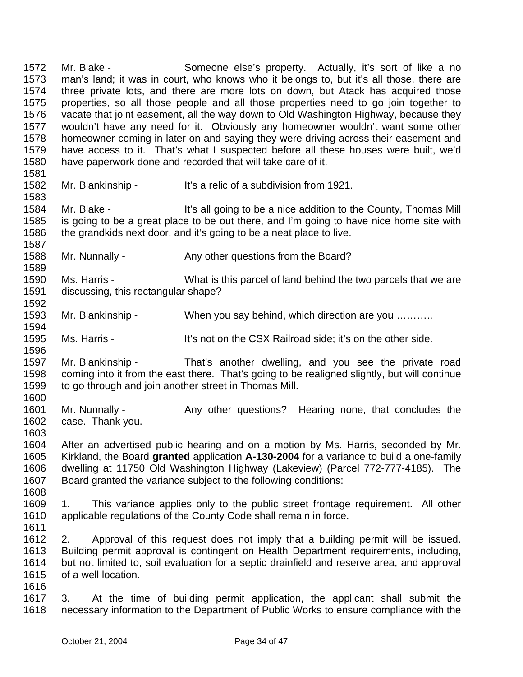1572 1573 1574 1575 1576 1577 1578 1579 1580 1581 Mr. Blake - Someone else's property. Actually, it's sort of like a no man's land; it was in court, who knows who it belongs to, but it's all those, there are three private lots, and there are more lots on down, but Atack has acquired those properties, so all those people and all those properties need to go join together to vacate that joint easement, all the way down to Old Washington Highway, because they wouldn't have any need for it. Obviously any homeowner wouldn't want some other homeowner coming in later on and saying they were driving across their easement and have access to it. That's what I suspected before all these houses were built, we'd have paperwork done and recorded that will take care of it.

1582 Mr. Blankinship - It's a relic of a subdivision from 1921.

1584 1585 1586 Mr. Blake - It's all going to be a nice addition to the County, Thomas Mill is going to be a great place to be out there, and I'm going to have nice home site with the grandkids next door, and it's going to be a neat place to live.

- 1588 Mr. Nunnally - Any other questions from the Board?
- 1590 1591 Ms. Harris - What is this parcel of land behind the two parcels that we are discussing, this rectangular shape?
- 1593 Mr. Blankinship - When you say behind, which direction are you ……….
- 1595 Ms. Harris - It's not on the CSX Railroad side; it's on the other side.

1597 1598 1599 Mr. Blankinship - That's another dwelling, and you see the private road coming into it from the east there. That's going to be realigned slightly, but will continue to go through and join another street in Thomas Mill.

- 1601 1602 1603 Mr. Nunnally - Any other questions? Hearing none, that concludes the case. Thank you.
- 1604 1605 1606 1607 After an advertised public hearing and on a motion by Ms. Harris, seconded by Mr. Kirkland, the Board **granted** application **A-130-2004** for a variance to build a one-family dwelling at 11750 Old Washington Highway (Lakeview) (Parcel 772-777-4185). The Board granted the variance subject to the following conditions:
- 1609 1610 1. This variance applies only to the public street frontage requirement. All other applicable regulations of the County Code shall remain in force.
- 1611

1608

1583

1587

1589

1592

1594

1596

1600

1612 1613 1614 1615 2. Approval of this request does not imply that a building permit will be issued. Building permit approval is contingent on Health Department requirements, including, but not limited to, soil evaluation for a septic drainfield and reserve area, and approval of a well location.

1616

1617 1618 3. At the time of building permit application, the applicant shall submit the necessary information to the Department of Public Works to ensure compliance with the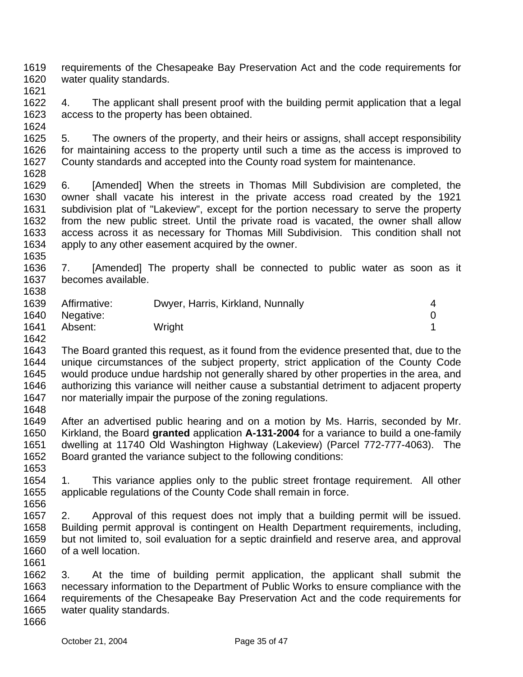1619 1620 requirements of the Chesapeake Bay Preservation Act and the code requirements for water quality standards.

1621

1622 1623 1624 4. The applicant shall present proof with the building permit application that a legal access to the property has been obtained.

1625 1626 1627 1628 5. The owners of the property, and their heirs or assigns, shall accept responsibility for maintaining access to the property until such a time as the access is improved to County standards and accepted into the County road system for maintenance.

1629 1630 1631 1632 1633 1634 6. [Amended] When the streets in Thomas Mill Subdivision are completed, the owner shall vacate his interest in the private access road created by the 1921 subdivision plat of "Lakeview", except for the portion necessary to serve the property from the new public street. Until the private road is vacated, the owner shall allow access across it as necessary for Thomas Mill Subdivision. This condition shall not apply to any other easement acquired by the owner.

1635

1638

1636 1637 7. [Amended] The property shall be connected to public water as soon as it becomes available.

| 1639 | Affirmative: | Dwyer, Harris, Kirkland, Nunnally | 4 |
|------|--------------|-----------------------------------|---|
| 1640 | Negative:    |                                   |   |
| 1641 | Absent:      | Wright                            |   |
| 1642 |              |                                   |   |

1643 1644 1645 1646 1647 The Board granted this request, as it found from the evidence presented that, due to the unique circumstances of the subject property, strict application of the County Code would produce undue hardship not generally shared by other properties in the area, and authorizing this variance will neither cause a substantial detriment to adjacent property nor materially impair the purpose of the zoning regulations.

1648

1661

1649 1650 1651 1652 1653 After an advertised public hearing and on a motion by Ms. Harris, seconded by Mr. Kirkland, the Board **granted** application **A-131-2004** for a variance to build a one-family dwelling at 11740 Old Washington Highway (Lakeview) (Parcel 772-777-4063). The Board granted the variance subject to the following conditions:

1654 1655 1656 1. This variance applies only to the public street frontage requirement. All other applicable regulations of the County Code shall remain in force.

1657 1658 1659 1660 2. Approval of this request does not imply that a building permit will be issued. Building permit approval is contingent on Health Department requirements, including, but not limited to, soil evaluation for a septic drainfield and reserve area, and approval of a well location.

1662 1663 1664 1665 1666 3. At the time of building permit application, the applicant shall submit the necessary information to the Department of Public Works to ensure compliance with the requirements of the Chesapeake Bay Preservation Act and the code requirements for water quality standards.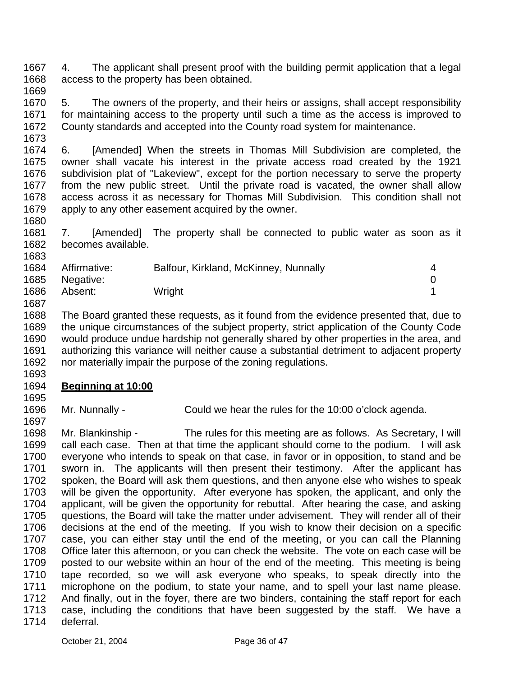1667 1668 4. The applicant shall present proof with the building permit application that a legal access to the property has been obtained.

1669

1670 1671 1672 1673 5. The owners of the property, and their heirs or assigns, shall accept responsibility for maintaining access to the property until such a time as the access is improved to County standards and accepted into the County road system for maintenance.

1674 1675 1676 1677 1678 1679 1680 6. [Amended] When the streets in Thomas Mill Subdivision are completed, the owner shall vacate his interest in the private access road created by the 1921 subdivision plat of "Lakeview", except for the portion necessary to serve the property from the new public street. Until the private road is vacated, the owner shall allow access across it as necessary for Thomas Mill Subdivision. This condition shall not apply to any other easement acquired by the owner.

1681 1682 1683 7. [Amended] The property shall be connected to public water as soon as it becomes available.

| 1684 | Affirmative: | Balfour, Kirkland, McKinney, Nunnally | 4 |
|------|--------------|---------------------------------------|---|
| 1685 | Negative:    |                                       |   |
| 1686 | Absent:      | Wright                                |   |
| 1687 |              |                                       |   |

1688 1689 1690 1691 1692 1693 The Board granted these requests, as it found from the evidence presented that, due to the unique circumstances of the subject property, strict application of the County Code would produce undue hardship not generally shared by other properties in the area, and authorizing this variance will neither cause a substantial detriment to adjacent property nor materially impair the purpose of the zoning regulations.

## 1694 **Beginning at 10:00**

1695 1696

1697

Mr. Nunnally - Could we hear the rules for the 10:00 o'clock agenda.

1698 1699 1700 1701 1702 1703 1704 1705 1706 1707 1708 1709 1710 1711 1712 1713 1714 Mr. Blankinship - The rules for this meeting are as follows. As Secretary, I will call each case. Then at that time the applicant should come to the podium. I will ask everyone who intends to speak on that case, in favor or in opposition, to stand and be sworn in. The applicants will then present their testimony. After the applicant has spoken, the Board will ask them questions, and then anyone else who wishes to speak will be given the opportunity. After everyone has spoken, the applicant, and only the applicant, will be given the opportunity for rebuttal. After hearing the case, and asking questions, the Board will take the matter under advisement. They will render all of their decisions at the end of the meeting. If you wish to know their decision on a specific case, you can either stay until the end of the meeting, or you can call the Planning Office later this afternoon, or you can check the website. The vote on each case will be posted to our website within an hour of the end of the meeting. This meeting is being tape recorded, so we will ask everyone who speaks, to speak directly into the microphone on the podium, to state your name, and to spell your last name please. And finally, out in the foyer, there are two binders, containing the staff report for each case, including the conditions that have been suggested by the staff. We have a deferral.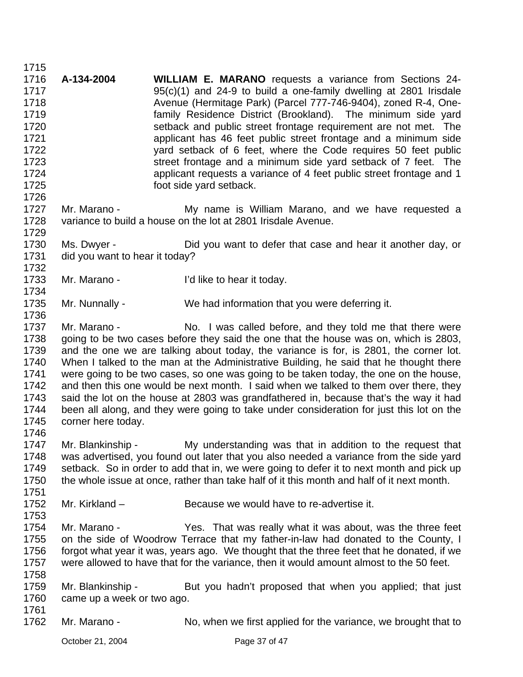1716 1717 1718 1719 1720 1721 1722 1723 1724 1725 1726 1727 1728 1729 1730 1731 1732 1733 1734 1735 1736 1737 1738 1739 1740 1741 1742 1743 1744 1745 1746 1747 1748 1749 1750 1751 1752 1753 1754 1755 1756 1757 1758 1759 1760 1761 1762 **A-134-2004 WILLIAM E. MARANO** requests a variance from Sections 24- 95(c)(1) and 24-9 to build a one-family dwelling at 2801 Irisdale Avenue (Hermitage Park) (Parcel 777-746-9404), zoned R-4, Onefamily Residence District (Brookland). The minimum side yard setback and public street frontage requirement are not met. The applicant has 46 feet public street frontage and a minimum side yard setback of 6 feet, where the Code requires 50 feet public street frontage and a minimum side yard setback of 7 feet. The applicant requests a variance of 4 feet public street frontage and 1 foot side yard setback. Mr. Marano - The My name is William Marano, and we have requested a variance to build a house on the lot at 2801 Irisdale Avenue. Ms. Dwyer - Did you want to defer that case and hear it another day, or did you want to hear it today? Mr. Marano - I'd like to hear it today. Mr. Nunnally - We had information that you were deferring it. Mr. Marano - No. I was called before, and they told me that there were going to be two cases before they said the one that the house was on, which is 2803, and the one we are talking about today, the variance is for, is 2801, the corner lot. When I talked to the man at the Administrative Building, he said that he thought there were going to be two cases, so one was going to be taken today, the one on the house, and then this one would be next month. I said when we talked to them over there, they said the lot on the house at 2803 was grandfathered in, because that's the way it had been all along, and they were going to take under consideration for just this lot on the corner here today. Mr. Blankinship - My understanding was that in addition to the request that was advertised, you found out later that you also needed a variance from the side yard setback. So in order to add that in, we were going to defer it to next month and pick up the whole issue at once, rather than take half of it this month and half of it next month. Mr. Kirkland – Because we would have to re-advertise it. Mr. Marano - Thes. That was really what it was about, was the three feet on the side of Woodrow Terrace that my father-in-law had donated to the County, I forgot what year it was, years ago. We thought that the three feet that he donated, if we were allowed to have that for the variance, then it would amount almost to the 50 feet. Mr. Blankinship - But you hadn't proposed that when you applied; that just came up a week or two ago. Mr. Marano - No, when we first applied for the variance, we brought that to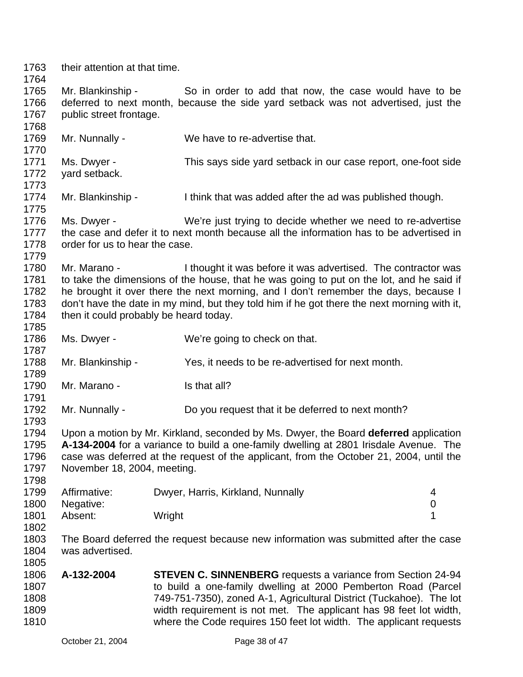1763 their attention at that time.

1764

1768

1785

1787

1789

1791

1793

1798

1805

1765 1766 1767 Mr. Blankinship - So in order to add that now, the case would have to be deferred to next month, because the side yard setback was not advertised, just the public street frontage.

1769 1770 1771 Mr. Nunnally - We have to re-advertise that. Ms. Dwyer - This says side yard setback in our case report, one-foot side

1772 1773 yard setback.

1774 1775 Mr. Blankinship - I think that was added after the ad was published though.

1776 1777 1778 1779 Ms. Dwyer - We're just trying to decide whether we need to re-advertise the case and defer it to next month because all the information has to be advertised in order for us to hear the case.

1780 1781 1782 1783 1784 Mr. Marano - I thought it was before it was advertised. The contractor was to take the dimensions of the house, that he was going to put on the lot, and he said if he brought it over there the next morning, and I don't remember the days, because I don't have the date in my mind, but they told him if he got there the next morning with it, then it could probably be heard today.

- 1786 Ms. Dwyer - We're going to check on that.
- 1788 Mr. Blankinship - Yes, it needs to be re-advertised for next month.
- 1790 Mr. Marano - Is that all?
- 1792 Mr. Nunnally - Do you request that it be deferred to next month?

1794 1795 1796 1797 Upon a motion by Mr. Kirkland, seconded by Ms. Dwyer, the Board **deferred** application **A-134-2004** for a variance to build a one-family dwelling at 2801 Irisdale Avenue. The case was deferred at the request of the applicant, from the October 21, 2004, until the November 18, 2004, meeting.

| 1799 | Affirmative: | Dwyer, Harris, Kirkland, Nunnally | 4 |
|------|--------------|-----------------------------------|---|
| 1800 | Negative:    |                                   |   |
| 1801 | Absent:      | Wright                            |   |
| 1802 |              |                                   |   |

1803 1804 The Board deferred the request because new information was submitted after the case was advertised.

1806 1807 1808 1809 1810 **A-132-2004 STEVEN C. SINNENBERG** requests a variance from Section 24-94 to build a one-family dwelling at 2000 Pemberton Road (Parcel 749-751-7350), zoned A-1, Agricultural District (Tuckahoe). The lot width requirement is not met. The applicant has 98 feet lot width, where the Code requires 150 feet lot width. The applicant requests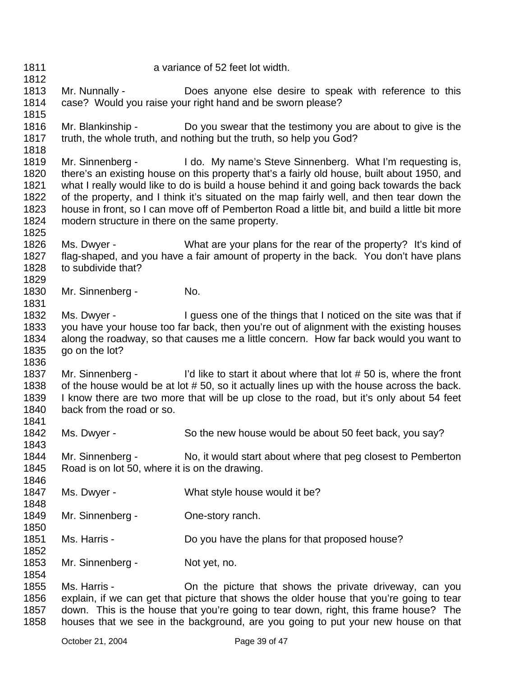1812 1813 1814 1815 1816 1817 1818 1819 1820 1821 1822 1823 1824 1825 1826 1827 1828 1829 1830 1831 1832 1833 1834 1835 1836 1837 1838 1839 1840 1841 1842 1843 1844 1845 1846 1847 1848 1849 1850 1851 1852 1853 1854 1855 1856 1857 Mr. Nunnally - Does anyone else desire to speak with reference to this case? Would you raise your right hand and be sworn please? Mr. Blankinship - Do you swear that the testimony you are about to give is the truth, the whole truth, and nothing but the truth, so help you God? Mr. Sinnenberg - I do. My name's Steve Sinnenberg. What I'm requesting is, there's an existing house on this property that's a fairly old house, built about 1950, and what I really would like to do is build a house behind it and going back towards the back of the property, and I think it's situated on the map fairly well, and then tear down the house in front, so I can move off of Pemberton Road a little bit, and build a little bit more modern structure in there on the same property. Ms. Dwyer - What are your plans for the rear of the property? It's kind of flag-shaped, and you have a fair amount of property in the back. You don't have plans to subdivide that? Mr. Sinnenberg - No. Ms. Dwyer - I guess one of the things that I noticed on the site was that if you have your house too far back, then you're out of alignment with the existing houses along the roadway, so that causes me a little concern. How far back would you want to go on the lot? Mr. Sinnenberg - I'd like to start it about where that lot #50 is, where the front of the house would be at lot # 50, so it actually lines up with the house across the back. I know there are two more that will be up close to the road, but it's only about 54 feet back from the road or so. Ms. Dwyer - So the new house would be about 50 feet back, you say? Mr. Sinnenberg - No, it would start about where that peg closest to Pemberton Road is on lot 50, where it is on the drawing. Ms. Dwyer - What style house would it be? Mr. Sinnenberg - One-story ranch. Ms. Harris - **Do you have the plans for that proposed house?** Mr. Sinnenberg - Not yet, no. Ms. Harris - **On the picture that shows the private driveway**, can you explain, if we can get that picture that shows the older house that you're going to tear down. This is the house that you're going to tear down, right, this frame house? The

a variance of 52 feet lot width.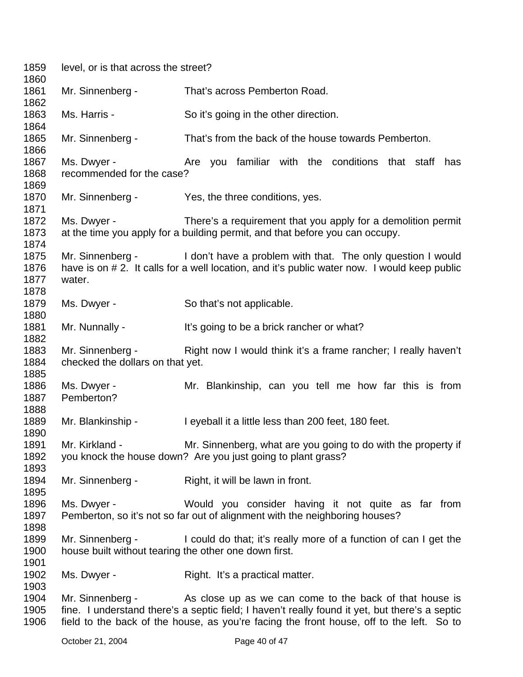| 1859         | level, or is that across the street? |                                                                                                |  |  |
|--------------|--------------------------------------|------------------------------------------------------------------------------------------------|--|--|
| 1860         |                                      |                                                                                                |  |  |
| 1861<br>1862 | Mr. Sinnenberg -                     | That's across Pemberton Road.                                                                  |  |  |
| 1863         | Ms. Harris -                         | So it's going in the other direction.                                                          |  |  |
| 1864         |                                      |                                                                                                |  |  |
| 1865         | Mr. Sinnenberg -                     | That's from the back of the house towards Pemberton.                                           |  |  |
| 1866         |                                      |                                                                                                |  |  |
| 1867         | Ms. Dwyer -                          | Are you familiar with the conditions that staff has                                            |  |  |
| 1868         | recommended for the case?            |                                                                                                |  |  |
| 1869         |                                      |                                                                                                |  |  |
| 1870         | Mr. Sinnenberg -                     | Yes, the three conditions, yes.                                                                |  |  |
| 1871         |                                      |                                                                                                |  |  |
| 1872         | Ms. Dwyer -                          | There's a requirement that you apply for a demolition permit                                   |  |  |
| 1873         |                                      | at the time you apply for a building permit, and that before you can occupy.                   |  |  |
| 1874         |                                      |                                                                                                |  |  |
| 1875         |                                      | Mr. Sinnenberg - I don't have a problem with that. The only question I would                   |  |  |
| 1876         |                                      | have is on #2. It calls for a well location, and it's public water now. I would keep public    |  |  |
| 1877         | water.                               |                                                                                                |  |  |
| 1878         |                                      |                                                                                                |  |  |
| 1879         | Ms. Dwyer -                          | So that's not applicable.                                                                      |  |  |
| 1880         |                                      |                                                                                                |  |  |
| 1881         | Mr. Nunnally -                       | It's going to be a brick rancher or what?                                                      |  |  |
| 1882         |                                      |                                                                                                |  |  |
| 1883         | Mr. Sinnenberg -                     | Right now I would think it's a frame rancher; I really haven't                                 |  |  |
| 1884         | checked the dollars on that yet.     |                                                                                                |  |  |
| 1885         |                                      |                                                                                                |  |  |
| 1886         | Ms. Dwyer -                          | Mr. Blankinship, can you tell me how far this is from                                          |  |  |
| 1887         | Pemberton?                           |                                                                                                |  |  |
| 1888         |                                      |                                                                                                |  |  |
| 1889         | Mr. Blankinship -                    | I eyeball it a little less than 200 feet, 180 feet.                                            |  |  |
| 1890         |                                      |                                                                                                |  |  |
| 1891         | Mr. Kirkland -                       | Mr. Sinnenberg, what are you going to do with the property if                                  |  |  |
| 1892         |                                      | you knock the house down? Are you just going to plant grass?                                   |  |  |
| 1893         |                                      |                                                                                                |  |  |
| 1894         | Mr. Sinnenberg -                     | Right, it will be lawn in front.                                                               |  |  |
| 1895         |                                      |                                                                                                |  |  |
| 1896         | Ms. Dwyer -                          | Would you consider having it not quite as far from                                             |  |  |
| 1897         |                                      | Pemberton, so it's not so far out of alignment with the neighboring houses?                    |  |  |
| 1898         |                                      |                                                                                                |  |  |
| 1899         | Mr. Sinnenberg -                     | I could do that; it's really more of a function of can I get the                               |  |  |
| 1900         |                                      | house built without tearing the other one down first.                                          |  |  |
| 1901         |                                      |                                                                                                |  |  |
| 1902         | Ms. Dwyer -                          | Right. It's a practical matter.                                                                |  |  |
| 1903         |                                      |                                                                                                |  |  |
| 1904         | Mr. Sinnenberg -                     | As close up as we can come to the back of that house is                                        |  |  |
| 1905         |                                      | fine. I understand there's a septic field; I haven't really found it yet, but there's a septic |  |  |
| 1906         |                                      | field to the back of the house, as you're facing the front house, off to the left. So to       |  |  |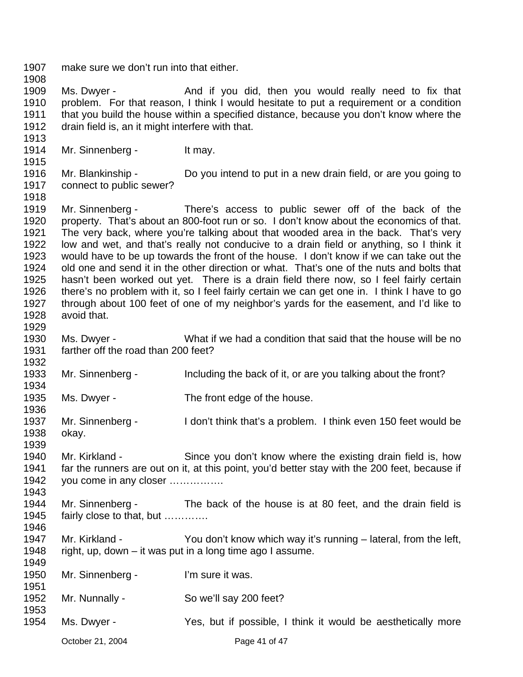October 21, 2004 **Page 41 of 47** 1907 1908 1909 1910 1911 1912 1913 1914 1915 1916 1917 1918 1919 1920 1921 1922 1923 1924 1925 1926 1927 1928 1929 1930 1931 1932 1933 1934 1935 1936 1937 1938 1939 1940 1941 1942 1943 1944 1945 1946 1947 1948 1949 1950 1951 1952 1953 1954 make sure we don't run into that either. Ms. Dwyer - The And if you did, then you would really need to fix that problem. For that reason, I think I would hesitate to put a requirement or a condition that you build the house within a specified distance, because you don't know where the drain field is, an it might interfere with that. Mr. Sinnenberg - It may. Mr. Blankinship - Do you intend to put in a new drain field, or are you going to connect to public sewer? Mr. Sinnenberg - There's access to public sewer off of the back of the property. That's about an 800-foot run or so. I don't know about the economics of that. The very back, where you're talking about that wooded area in the back. That's very low and wet, and that's really not conducive to a drain field or anything, so I think it would have to be up towards the front of the house. I don't know if we can take out the old one and send it in the other direction or what. That's one of the nuts and bolts that hasn't been worked out yet. There is a drain field there now, so I feel fairly certain there's no problem with it, so I feel fairly certain we can get one in. I think I have to go through about 100 feet of one of my neighbor's yards for the easement, and I'd like to avoid that. Ms. Dwyer - What if we had a condition that said that the house will be no farther off the road than 200 feet? Mr. Sinnenberg - Including the back of it, or are you talking about the front? Ms. Dwyer - The front edge of the house. Mr. Sinnenberg - I don't think that's a problem. I think even 150 feet would be okay. Mr. Kirkland - Since you don't know where the existing drain field is, how far the runners are out on it, at this point, you'd better stay with the 200 feet, because if you come in any closer ……………. Mr. Sinnenberg - The back of the house is at 80 feet, and the drain field is fairly close to that, but …………. Mr. Kirkland - You don't know which way it's running – lateral, from the left, right, up, down – it was put in a long time ago I assume. Mr. Sinnenberg - I'm sure it was. Mr. Nunnally - So we'll say 200 feet? Ms. Dwyer - Yes, but if possible, I think it would be aesthetically more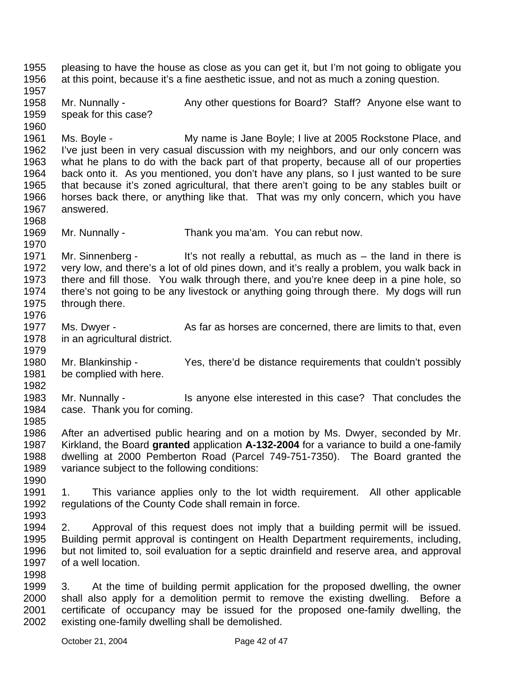1955 1956 1957 1958 1959 1960 1961 1962 1963 1964 1965 1966 1967 1968 1969 1970 1971 1972 1973 1974 1975 1976 1977 1978 1979 1980 1981 1982 1983 1984 1985 1986 1987 1988 1989 1990 1991 1992 1993 1994 1995 1996 1997 1998 1999 2000 2001 2002 pleasing to have the house as close as you can get it, but I'm not going to obligate you at this point, because it's a fine aesthetic issue, and not as much a zoning question. Mr. Nunnally - Any other questions for Board? Staff? Anyone else want to speak for this case? Ms. Boyle - My name is Jane Boyle; I live at 2005 Rockstone Place, and I've just been in very casual discussion with my neighbors, and our only concern was what he plans to do with the back part of that property, because all of our properties back onto it. As you mentioned, you don't have any plans, so I just wanted to be sure that because it's zoned agricultural, that there aren't going to be any stables built or horses back there, or anything like that. That was my only concern, which you have answered. Mr. Nunnally - Thank you ma'am. You can rebut now. Mr. Sinnenberg - It's not really a rebuttal, as much as  $-$  the land in there is very low, and there's a lot of old pines down, and it's really a problem, you walk back in there and fill those. You walk through there, and you're knee deep in a pine hole, so there's not going to be any livestock or anything going through there. My dogs will run through there. Ms. Dwyer - As far as horses are concerned, there are limits to that, even in an agricultural district. Mr. Blankinship - Yes, there'd be distance requirements that couldn't possibly be complied with here. Mr. Nunnally - Is anyone else interested in this case? That concludes the case. Thank you for coming. After an advertised public hearing and on a motion by Ms. Dwyer, seconded by Mr. Kirkland, the Board **granted** application **A-132-2004** for a variance to build a one-family dwelling at 2000 Pemberton Road (Parcel 749-751-7350). The Board granted the variance subject to the following conditions: 1. This variance applies only to the lot width requirement. All other applicable regulations of the County Code shall remain in force. 2. Approval of this request does not imply that a building permit will be issued. Building permit approval is contingent on Health Department requirements, including, but not limited to, soil evaluation for a septic drainfield and reserve area, and approval of a well location. 3. At the time of building permit application for the proposed dwelling, the owner shall also apply for a demolition permit to remove the existing dwelling. Before a certificate of occupancy may be issued for the proposed one-family dwelling, the existing one-family dwelling shall be demolished.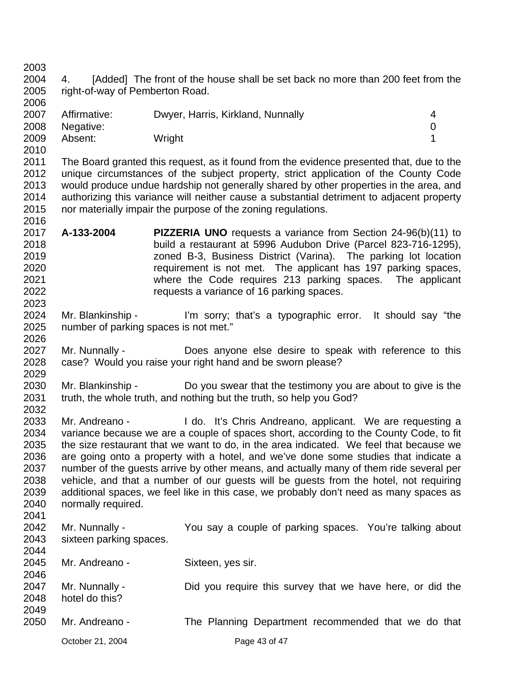| 2003 |                                                                                                                                                                                     |                                                                                          |             |  |  |
|------|-------------------------------------------------------------------------------------------------------------------------------------------------------------------------------------|------------------------------------------------------------------------------------------|-------------|--|--|
| 2004 | 4.                                                                                                                                                                                  | [Added] The front of the house shall be set back no more than 200 feet from the          |             |  |  |
| 2005 | right-of-way of Pemberton Road.                                                                                                                                                     |                                                                                          |             |  |  |
| 2006 |                                                                                                                                                                                     |                                                                                          |             |  |  |
| 2007 | Affirmative:                                                                                                                                                                        | Dwyer, Harris, Kirkland, Nunnally                                                        | 4           |  |  |
| 2008 | Negative:                                                                                                                                                                           |                                                                                          | $\mathbf 0$ |  |  |
| 2009 | Absent:                                                                                                                                                                             | Wright                                                                                   | 1           |  |  |
| 2010 |                                                                                                                                                                                     |                                                                                          |             |  |  |
| 2011 |                                                                                                                                                                                     | The Board granted this request, as it found from the evidence presented that, due to the |             |  |  |
| 2012 |                                                                                                                                                                                     | unique circumstances of the subject property, strict application of the County Code      |             |  |  |
| 2013 |                                                                                                                                                                                     |                                                                                          |             |  |  |
| 2014 | would produce undue hardship not generally shared by other properties in the area, and<br>authorizing this variance will neither cause a substantial detriment to adjacent property |                                                                                          |             |  |  |
|      |                                                                                                                                                                                     |                                                                                          |             |  |  |
| 2015 |                                                                                                                                                                                     | nor materially impair the purpose of the zoning regulations.                             |             |  |  |
| 2016 |                                                                                                                                                                                     |                                                                                          |             |  |  |
| 2017 | A-133-2004                                                                                                                                                                          | <b>PIZZERIA UNO</b> requests a variance from Section 24-96(b)(11) to                     |             |  |  |
| 2018 |                                                                                                                                                                                     | build a restaurant at 5996 Audubon Drive (Parcel 823-716-1295),                          |             |  |  |
| 2019 |                                                                                                                                                                                     | zoned B-3, Business District (Varina). The parking lot location                          |             |  |  |
| 2020 |                                                                                                                                                                                     | requirement is not met. The applicant has 197 parking spaces,                            |             |  |  |
| 2021 |                                                                                                                                                                                     | where the Code requires 213 parking spaces. The applicant                                |             |  |  |
| 2022 |                                                                                                                                                                                     | requests a variance of 16 parking spaces.                                                |             |  |  |
| 2023 |                                                                                                                                                                                     |                                                                                          |             |  |  |
| 2024 | Mr. Blankinship -                                                                                                                                                                   | I'm sorry; that's a typographic error. It should say "the                                |             |  |  |
| 2025 | number of parking spaces is not met."                                                                                                                                               |                                                                                          |             |  |  |
| 2026 |                                                                                                                                                                                     |                                                                                          |             |  |  |
| 2027 | Mr. Nunnally -                                                                                                                                                                      | Does anyone else desire to speak with reference to this                                  |             |  |  |
| 2028 |                                                                                                                                                                                     | case? Would you raise your right hand and be sworn please?                               |             |  |  |
| 2029 |                                                                                                                                                                                     |                                                                                          |             |  |  |
| 2030 | Mr. Blankinship -                                                                                                                                                                   | Do you swear that the testimony you are about to give is the                             |             |  |  |
| 2031 |                                                                                                                                                                                     | truth, the whole truth, and nothing but the truth, so help you God?                      |             |  |  |
| 2032 |                                                                                                                                                                                     |                                                                                          |             |  |  |
| 2033 | Mr. Andreano -                                                                                                                                                                      | I do. It's Chris Andreano, applicant. We are requesting a                                |             |  |  |
| 2034 |                                                                                                                                                                                     | variance because we are a couple of spaces short, according to the County Code, to fit   |             |  |  |
| 2035 |                                                                                                                                                                                     | the size restaurant that we want to do, in the area indicated. We feel that because we   |             |  |  |
| 2036 |                                                                                                                                                                                     | are going onto a property with a hotel, and we've done some studies that indicate a      |             |  |  |
| 2037 | number of the guests arrive by other means, and actually many of them ride several per                                                                                              |                                                                                          |             |  |  |
| 2038 | vehicle, and that a number of our guests will be guests from the hotel, not requiring                                                                                               |                                                                                          |             |  |  |
| 2039 | additional spaces, we feel like in this case, we probably don't need as many spaces as                                                                                              |                                                                                          |             |  |  |
| 2040 | normally required.                                                                                                                                                                  |                                                                                          |             |  |  |
| 2041 |                                                                                                                                                                                     |                                                                                          |             |  |  |
| 2042 | Mr. Nunnally -                                                                                                                                                                      | You say a couple of parking spaces. You're talking about                                 |             |  |  |
| 2043 | sixteen parking spaces.                                                                                                                                                             |                                                                                          |             |  |  |
| 2044 |                                                                                                                                                                                     |                                                                                          |             |  |  |
| 2045 | Mr. Andreano -                                                                                                                                                                      | Sixteen, yes sir.                                                                        |             |  |  |
| 2046 |                                                                                                                                                                                     |                                                                                          |             |  |  |
| 2047 |                                                                                                                                                                                     |                                                                                          |             |  |  |
| 2048 | Mr. Nunnally -<br>hotel do this?                                                                                                                                                    | Did you require this survey that we have here, or did the                                |             |  |  |
| 2049 |                                                                                                                                                                                     |                                                                                          |             |  |  |
|      |                                                                                                                                                                                     |                                                                                          |             |  |  |
| 2050 | Mr. Andreano -                                                                                                                                                                      | The Planning Department recommended that we do that                                      |             |  |  |
|      | October 21, 2004                                                                                                                                                                    | Page 43 of 47                                                                            |             |  |  |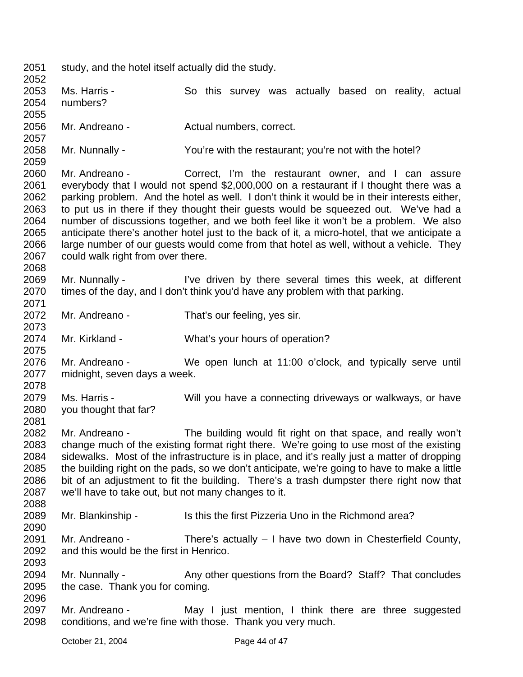2051 study, and the hotel itself actually did the study.

2052 2053 2054 2055 2056 2057 2058 2059 2060 2061 2062 2063 2064 2065 2066 2067 2068 2069 2070 2071 2072 2073 2074 2075 2076 2077 2078 2079 2080 2081 2082 2083 2084 2085 2086 2087 2088 2089 2090 2091 2092 2093 2094 2095 2096 2097 2098 Ms. Harris - So this survey was actually based on reality, actual numbers? Mr. Andreano - **Actual numbers, correct.** Mr. Nunnally - You're with the restaurant; you're not with the hotel? Mr. Andreano - Correct, I'm the restaurant owner, and I can assure everybody that I would not spend \$2,000,000 on a restaurant if I thought there was a parking problem. And the hotel as well. I don't think it would be in their interests either, to put us in there if they thought their guests would be squeezed out. We've had a number of discussions together, and we both feel like it won't be a problem. We also anticipate there's another hotel just to the back of it, a micro-hotel, that we anticipate a large number of our guests would come from that hotel as well, without a vehicle. They could walk right from over there. Mr. Nunnally - I've driven by there several times this week, at different times of the day, and I don't think you'd have any problem with that parking. Mr. Andreano - That's our feeling, yes sir. Mr. Kirkland - What's your hours of operation? Mr. Andreano - We open lunch at 11:00 o'clock, and typically serve until midnight, seven days a week. Ms. Harris - Will you have a connecting driveways or walkways, or have you thought that far? Mr. Andreano - The building would fit right on that space, and really won't change much of the existing format right there. We're going to use most of the existing sidewalks. Most of the infrastructure is in place, and it's really just a matter of dropping the building right on the pads, so we don't anticipate, we're going to have to make a little bit of an adjustment to fit the building. There's a trash dumpster there right now that we'll have to take out, but not many changes to it. Mr. Blankinship - Is this the first Pizzeria Uno in the Richmond area? Mr. Andreano - There's actually – I have two down in Chesterfield County, and this would be the first in Henrico. Mr. Nunnally - Any other questions from the Board? Staff? That concludes the case. Thank you for coming. Mr. Andreano - May I just mention, I think there are three suggested conditions, and we're fine with those. Thank you very much.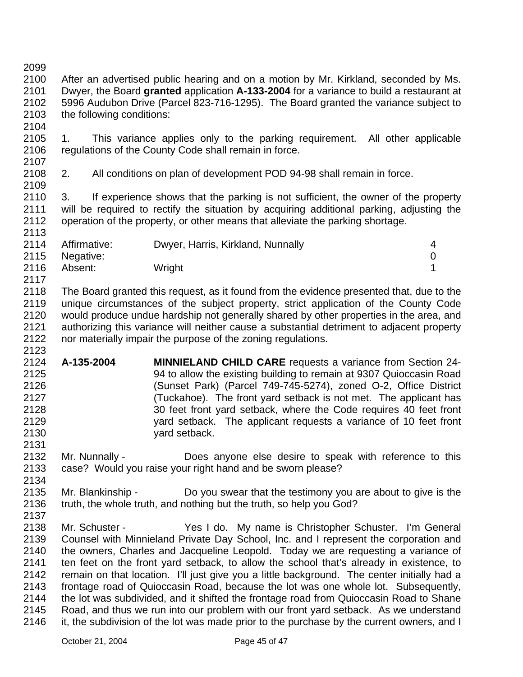2099

2104

2109

2100 2101 2102 2103 After an advertised public hearing and on a motion by Mr. Kirkland, seconded by Ms. Dwyer, the Board **granted** application **A-133-2004** for a variance to build a restaurant at 5996 Audubon Drive (Parcel 823-716-1295). The Board granted the variance subject to the following conditions:

2105 2106 2107 1. This variance applies only to the parking requirement. All other applicable regulations of the County Code shall remain in force.

2108 2. All conditions on plan of development POD 94-98 shall remain in force.

2110 2111 2112 2113 3. If experience shows that the parking is not sufficient, the owner of the property will be required to rectify the situation by acquiring additional parking, adjusting the operation of the property, or other means that alleviate the parking shortage.

2114 2115 2116 2117 Affirmative: Dwyer, Harris, Kirkland, Nunnally 4 Negative: 0 Absent: Wright 1

2118 2119 2120 2121 2122 2123 The Board granted this request, as it found from the evidence presented that, due to the unique circumstances of the subject property, strict application of the County Code would produce undue hardship not generally shared by other properties in the area, and authorizing this variance will neither cause a substantial detriment to adjacent property nor materially impair the purpose of the zoning regulations.

- 2124 2125 2126 2127 2128 2129 2130 **A-135-2004 MINNIELAND CHILD CARE** requests a variance from Section 24- 94 to allow the existing building to remain at 9307 Quioccasin Road (Sunset Park) (Parcel 749-745-5274), zoned O-2, Office District (Tuckahoe). The front yard setback is not met. The applicant has 30 feet front yard setback, where the Code requires 40 feet front yard setback. The applicant requests a variance of 10 feet front yard setback.
- 2132 2133 Mr. Nunnally - **Does** anyone else desire to speak with reference to this case? Would you raise your right hand and be sworn please?
- 2135 2136 Mr. Blankinship - Do you swear that the testimony you are about to give is the truth, the whole truth, and nothing but the truth, so help you God?
- 2137

2131

2134

2138 2139 2140 2141 2142 2143 2144 2145 2146 Mr. Schuster - The Yes I do. My name is Christopher Schuster. I'm General Counsel with Minnieland Private Day School, Inc. and I represent the corporation and the owners, Charles and Jacqueline Leopold. Today we are requesting a variance of ten feet on the front yard setback, to allow the school that's already in existence, to remain on that location. I'll just give you a little background. The center initially had a frontage road of Quioccasin Road, because the lot was one whole lot. Subsequently, the lot was subdivided, and it shifted the frontage road from Quioccasin Road to Shane Road, and thus we run into our problem with our front yard setback. As we understand it, the subdivision of the lot was made prior to the purchase by the current owners, and I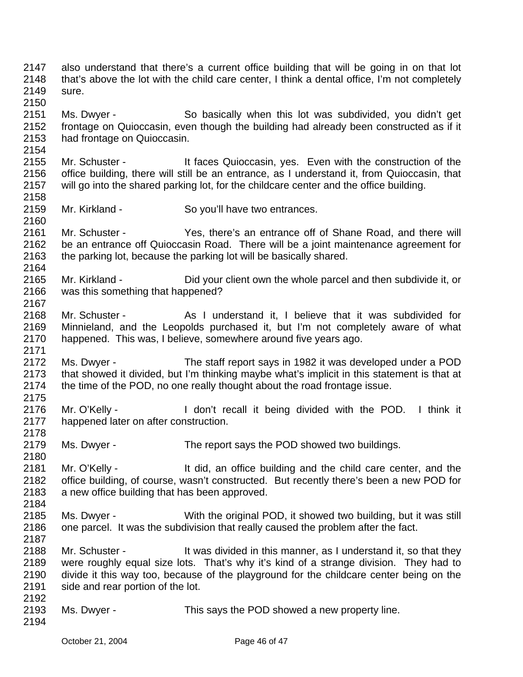2147 2148 2149 2150 also understand that there's a current office building that will be going in on that lot that's above the lot with the child care center, I think a dental office, I'm not completely sure.

2151 2152 2153 Ms. Dwyer - So basically when this lot was subdivided, you didn't get frontage on Quioccasin, even though the building had already been constructed as if it had frontage on Quioccasin.

- 2155 2156 2157 2158 Mr. Schuster - The It faces Quioccasin, yes. Even with the construction of the office building, there will still be an entrance, as I understand it, from Quioccasin, that will go into the shared parking lot, for the childcare center and the office building.
- 2159 Mr. Kirkland - So you'll have two entrances.
- 2161 2162 2163 2164 Mr. Schuster - Yes, there's an entrance off of Shane Road, and there will be an entrance off Quioccasin Road. There will be a joint maintenance agreement for the parking lot, because the parking lot will be basically shared.
- 2165 2166 Mr. Kirkland - Did your client own the whole parcel and then subdivide it, or was this something that happened?
- 2168 2169 2170 Mr. Schuster - As I understand it, I believe that it was subdivided for Minnieland, and the Leopolds purchased it, but I'm not completely aware of what happened. This was, I believe, somewhere around five years ago.
- 2172 2173 2174 Ms. Dwyer - The staff report says in 1982 it was developed under a POD that showed it divided, but I'm thinking maybe what's implicit in this statement is that at the time of the POD, no one really thought about the road frontage issue.
- 2176 2177 2178 Mr. O'Kelly - I don't recall it being divided with the POD. I think it happened later on after construction.
- 2179 2180 Ms. Dwyer - The report says the POD showed two buildings.
- 2181 2182 2183 2184 Mr. O'Kelly - The State of the did, an office building and the child care center, and the office building, of course, wasn't constructed. But recently there's been a new POD for a new office building that has been approved.
- 2185 2186 Ms. Dwyer - With the original POD, it showed two building, but it was still one parcel. It was the subdivision that really caused the problem after the fact.
- 2188 2189 2190 2191 2192 Mr. Schuster - It was divided in this manner, as I understand it, so that they were roughly equal size lots. That's why it's kind of a strange division. They had to divide it this way too, because of the playground for the childcare center being on the side and rear portion of the lot.
- 2193 Ms. Dwyer - This says the POD showed a new property line.

2187

2154

2160

2167

2171